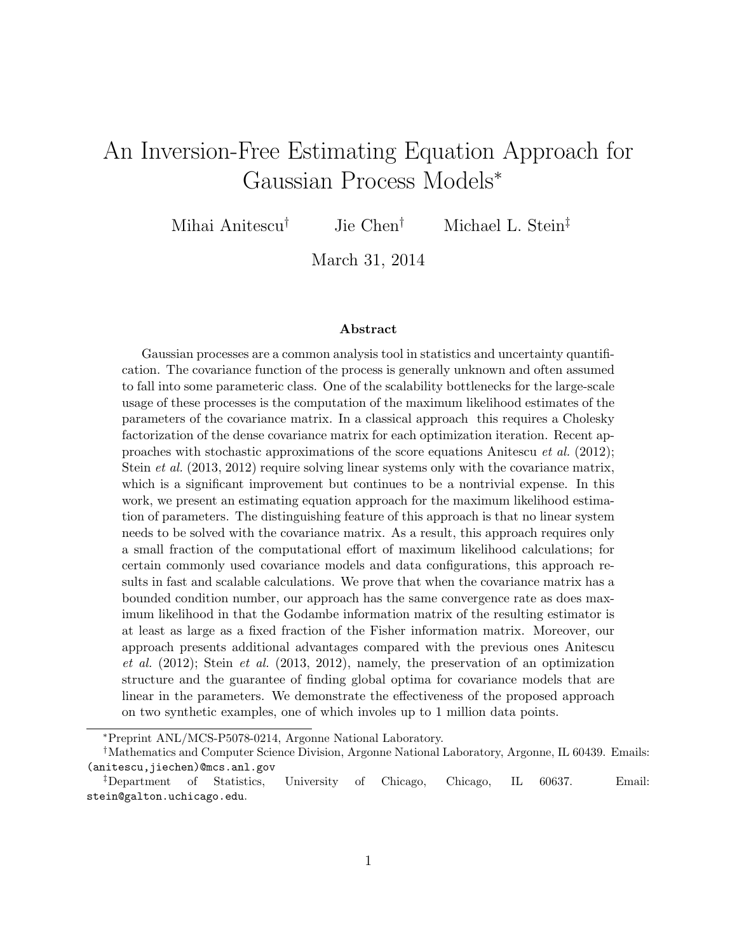# An Inversion-Free Estimating Equation Approach for Gaussian Process Models<sup>∗</sup>

Mihai Anitescu† Jie Chen† Michael L. Stein‡

March 31, 2014

#### Abstract

Gaussian processes are a common analysis tool in statistics and uncertainty quantification. The covariance function of the process is generally unknown and often assumed to fall into some parameteric class. One of the scalability bottlenecks for the large-scale usage of these processes is the computation of the maximum likelihood estimates of the parameters of the covariance matrix. In a classical approach this requires a Cholesky factorization of the dense covariance matrix for each optimization iteration. Recent approaches with stochastic approximations of the score equations Anitescu *et al.* (2012); Stein *et al.* (2013, 2012) require solving linear systems only with the covariance matrix, which is a significant improvement but continues to be a nontrivial expense. In this work, we present an estimating equation approach for the maximum likelihood estimation of parameters. The distinguishing feature of this approach is that no linear system needs to be solved with the covariance matrix. As a result, this approach requires only a small fraction of the computational effort of maximum likelihood calculations; for certain commonly used covariance models and data configurations, this approach results in fast and scalable calculations. We prove that when the covariance matrix has a bounded condition number, our approach has the same convergence rate as does maximum likelihood in that the Godambe information matrix of the resulting estimator is at least as large as a fixed fraction of the Fisher information matrix. Moreover, our approach presents additional advantages compared with the previous ones Anitescu et al.  $(2012)$ ; Stein et al.  $(2013, 2012)$ , namely, the preservation of an optimization structure and the guarantee of finding global optima for covariance models that are linear in the parameters. We demonstrate the effectiveness of the proposed approach on two synthetic examples, one of which involes up to 1 million data points.

<sup>∗</sup>Preprint ANL/MCS-P5078-0214, Argonne National Laboratory.

<sup>†</sup>Mathematics and Computer Science Division, Argonne National Laboratory, Argonne, IL 60439. Emails: (anitescu,jiechen)@mcs.anl.gov

<sup>‡</sup>Department of Statistics, University of Chicago, Chicago, IL 60637. Email: stein@galton.uchicago.edu.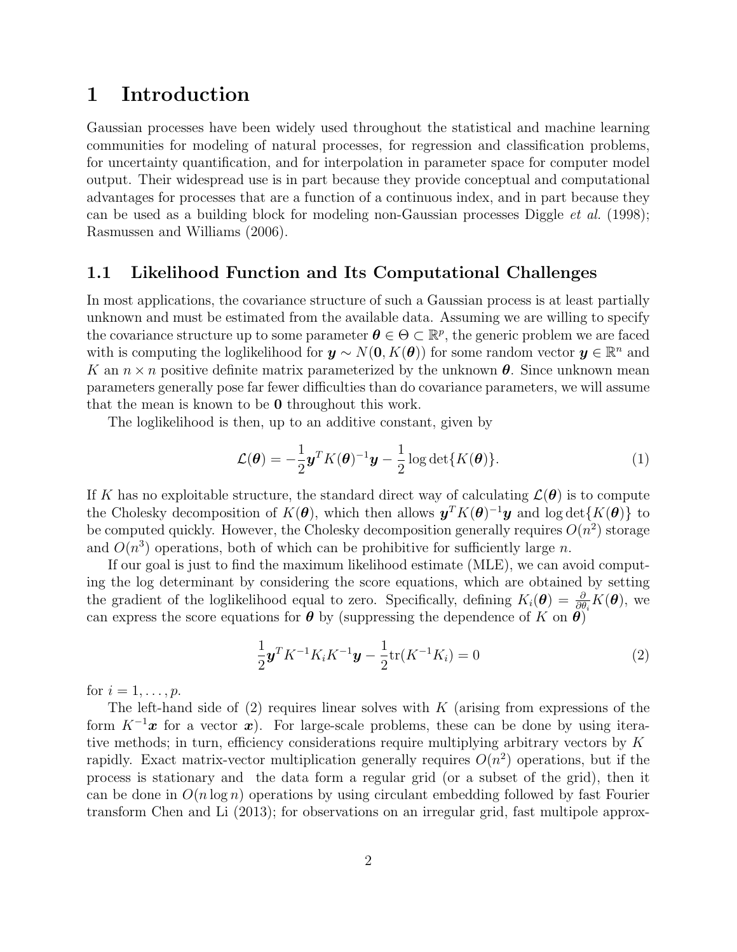### 1 Introduction

Gaussian processes have been widely used throughout the statistical and machine learning communities for modeling of natural processes, for regression and classification problems, for uncertainty quantification, and for interpolation in parameter space for computer model output. Their widespread use is in part because they provide conceptual and computational advantages for processes that are a function of a continuous index, and in part because they can be used as a building block for modeling non-Gaussian processes Diggle et al. (1998); Rasmussen and Williams (2006).

#### 1.1 Likelihood Function and Its Computational Challenges

In most applications, the covariance structure of such a Gaussian process is at least partially unknown and must be estimated from the available data. Assuming we are willing to specify the covariance structure up to some parameter  $\theta \in \Theta \subset \mathbb{R}^p$ , the generic problem we are faced with is computing the loglikelihood for  $y \sim N(0, K(\theta))$  for some random vector  $y \in \mathbb{R}^n$  and K an  $n \times n$  positive definite matrix parameterized by the unknown  $\theta$ . Since unknown mean parameters generally pose far fewer difficulties than do covariance parameters, we will assume that the mean is known to be 0 throughout this work.

The loglikelihood is then, up to an additive constant, given by

$$
\mathcal{L}(\boldsymbol{\theta}) = -\frac{1}{2}\boldsymbol{y}^T K(\boldsymbol{\theta})^{-1}\boldsymbol{y} - \frac{1}{2}\log\det\{K(\boldsymbol{\theta})\}.
$$
 (1)

If K has no exploitable structure, the standard direct way of calculating  $\mathcal{L}(\theta)$  is to compute the Cholesky decomposition of  $K(\theta)$ , which then allows  $y^T K(\theta)^{-1} y$  and  $\log \det\{K(\theta)\}\)$  to be computed quickly. However, the Cholesky decomposition generally requires  $O(n^2)$  storage and  $O(n^3)$  operations, both of which can be prohibitive for sufficiently large n.

If our goal is just to find the maximum likelihood estimate (MLE), we can avoid computing the log determinant by considering the score equations, which are obtained by setting the gradient of the loglikelihood equal to zero. Specifically, defining  $K_i(\theta) = \frac{\partial}{\partial \theta_i} K(\theta)$ , we can express the score equations for  $\theta$  by (suppressing the dependence of K on  $\theta$ )

$$
\frac{1}{2}\mathbf{y}^T K^{-1} K_i K^{-1} \mathbf{y} - \frac{1}{2} \text{tr}(K^{-1} K_i) = 0
$$
\n(2)

for  $i=1,\ldots,p$ .

The left-hand side of  $(2)$  requires linear solves with K (arising from expressions of the form  $K^{-1}x$  for a vector x). For large-scale problems, these can be done by using iterative methods; in turn, efficiency considerations require multiplying arbitrary vectors by  $K$ rapidly. Exact matrix-vector multiplication generally requires  $O(n^2)$  operations, but if the process is stationary and the data form a regular grid (or a subset of the grid), then it can be done in  $O(n \log n)$  operations by using circulant embedding followed by fast Fourier transform Chen and Li (2013); for observations on an irregular grid, fast multipole approx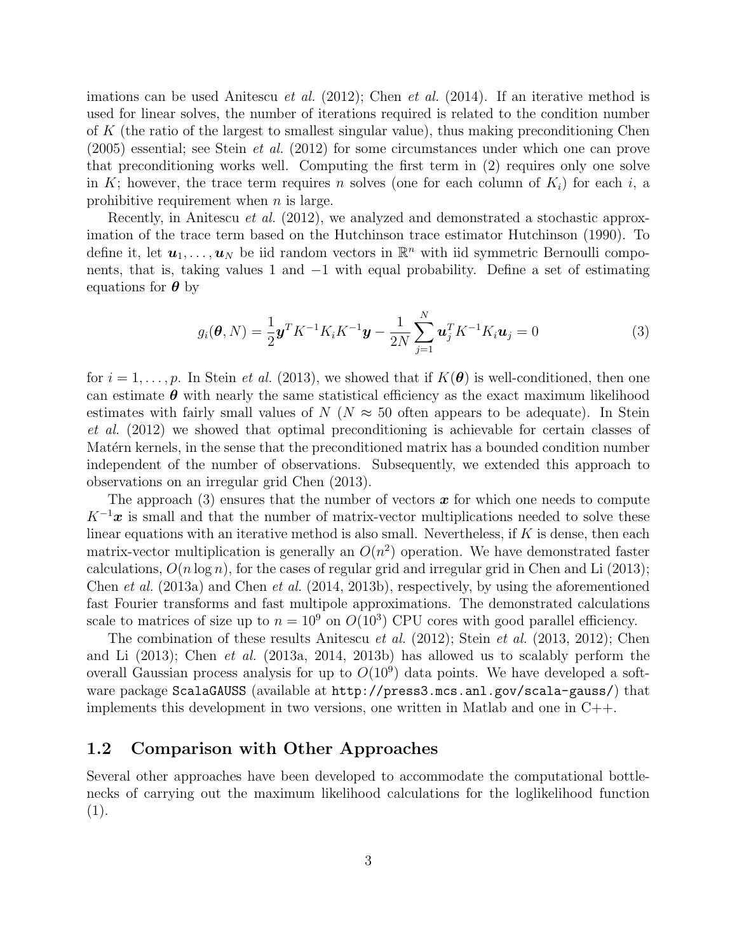imations can be used Anitescu *et al.* (2012); Chen *et al.* (2014). If an iterative method is used for linear solves, the number of iterations required is related to the condition number of K (the ratio of the largest to smallest singular value), thus making preconditioning Chen (2005) essential; see Stein et al. (2012) for some circumstances under which one can prove that preconditioning works well. Computing the first term in (2) requires only one solve in K; however, the trace term requires n solves (one for each column of  $K_i$ ) for each i, a prohibitive requirement when  $n$  is large.

Recently, in Anitescu *et al.* (2012), we analyzed and demonstrated a stochastic approximation of the trace term based on the Hutchinson trace estimator Hutchinson (1990). To define it, let  $u_1, \ldots, u_N$  be iid random vectors in  $\mathbb{R}^n$  with iid symmetric Bernoulli components, that is, taking values 1 and −1 with equal probability. Define a set of estimating equations for  $\theta$  by

$$
g_i(\boldsymbol{\theta}, N) = \frac{1}{2} \boldsymbol{y}^T K^{-1} K_i K^{-1} \boldsymbol{y} - \frac{1}{2N} \sum_{j=1}^N \boldsymbol{u}_j^T K^{-1} K_i \boldsymbol{u}_j = 0
$$
 (3)

for  $i = 1, \ldots, p$ . In Stein *et al.* (2013), we showed that if  $K(\theta)$  is well-conditioned, then one can estimate  $\theta$  with nearly the same statistical efficiency as the exact maximum likelihood estimates with fairly small values of  $N(N \approx 50)$  often appears to be adequate). In Stein et al. (2012) we showed that optimal preconditioning is achievable for certain classes of Matérn kernels, in the sense that the preconditioned matrix has a bounded condition number independent of the number of observations. Subsequently, we extended this approach to observations on an irregular grid Chen (2013).

The approach (3) ensures that the number of vectors  $\boldsymbol{x}$  for which one needs to compute  $K^{-1}x$  is small and that the number of matrix-vector multiplications needed to solve these linear equations with an iterative method is also small. Nevertheless, if  $K$  is dense, then each matrix-vector multiplication is generally an  $O(n^2)$  operation. We have demonstrated faster calculations,  $O(n \log n)$ , for the cases of regular grid and irregular grid in Chen and Li (2013); Chen et al. (2013a) and Chen et al. (2014, 2013b), respectively, by using the aforementioned fast Fourier transforms and fast multipole approximations. The demonstrated calculations scale to matrices of size up to  $n = 10^9$  on  $O(10^3)$  CPU cores with good parallel efficiency.

The combination of these results Anitescu *et al.*  $(2012)$ ; Stein *et al.*  $(2013, 2012)$ ; Chen and Li (2013); Chen et al. (2013a, 2014, 2013b) has allowed us to scalably perform the overall Gaussian process analysis for up to  $O(10^9)$  data points. We have developed a software package ScalaGAUSS (available at http://press3.mcs.anl.gov/scala-gauss/) that implements this development in two versions, one written in Matlab and one in C++.

#### 1.2 Comparison with Other Approaches

Several other approaches have been developed to accommodate the computational bottlenecks of carrying out the maximum likelihood calculations for the loglikelihood function (1).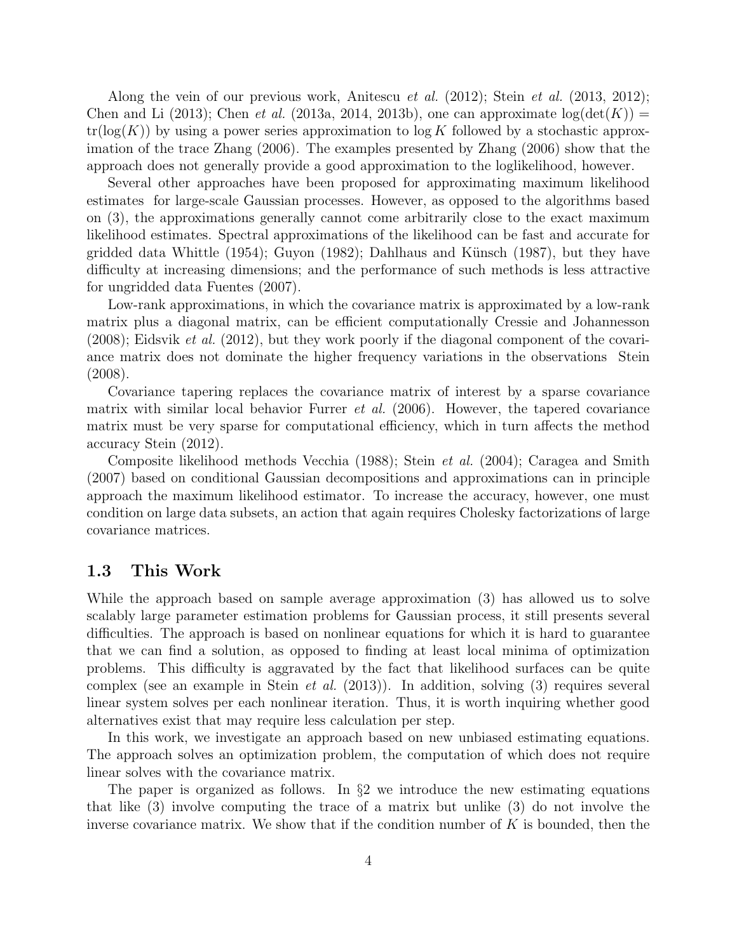Along the vein of our previous work, Anitescu *et al.*  $(2012)$ ; Stein *et al.*  $(2013, 2012)$ ; Chen and Li (2013); Chen *et al.* (2013a, 2014, 2013b), one can approximate  $log(det(K))$  =  $tr(log(K))$  by using a power series approximation to log K followed by a stochastic approximation of the trace Zhang (2006). The examples presented by Zhang (2006) show that the approach does not generally provide a good approximation to the loglikelihood, however.

Several other approaches have been proposed for approximating maximum likelihood estimates for large-scale Gaussian processes. However, as opposed to the algorithms based on (3), the approximations generally cannot come arbitrarily close to the exact maximum likelihood estimates. Spectral approximations of the likelihood can be fast and accurate for gridded data Whittle  $(1954)$ ; Guyon  $(1982)$ ; Dahlhaus and Künsch  $(1987)$ , but they have difficulty at increasing dimensions; and the performance of such methods is less attractive for ungridded data Fuentes (2007).

Low-rank approximations, in which the covariance matrix is approximated by a low-rank matrix plus a diagonal matrix, can be efficient computationally Cressie and Johannesson  $(2008)$ ; Eidsvik *et al.*  $(2012)$ , but they work poorly if the diagonal component of the covariance matrix does not dominate the higher frequency variations in the observations Stein (2008).

Covariance tapering replaces the covariance matrix of interest by a sparse covariance matrix with similar local behavior Furrer *et al.* (2006). However, the tapered covariance matrix must be very sparse for computational efficiency, which in turn affects the method accuracy Stein (2012).

Composite likelihood methods Vecchia (1988); Stein *et al.* (2004); Caragea and Smith (2007) based on conditional Gaussian decompositions and approximations can in principle approach the maximum likelihood estimator. To increase the accuracy, however, one must condition on large data subsets, an action that again requires Cholesky factorizations of large covariance matrices.

#### 1.3 This Work

While the approach based on sample average approximation (3) has allowed us to solve scalably large parameter estimation problems for Gaussian process, it still presents several difficulties. The approach is based on nonlinear equations for which it is hard to guarantee that we can find a solution, as opposed to finding at least local minima of optimization problems. This difficulty is aggravated by the fact that likelihood surfaces can be quite complex (see an example in Stein *et al.* (2013)). In addition, solving  $(3)$  requires several linear system solves per each nonlinear iteration. Thus, it is worth inquiring whether good alternatives exist that may require less calculation per step.

In this work, we investigate an approach based on new unbiased estimating equations. The approach solves an optimization problem, the computation of which does not require linear solves with the covariance matrix.

The paper is organized as follows. In  $\S 2$  we introduce the new estimating equations that like (3) involve computing the trace of a matrix but unlike (3) do not involve the inverse covariance matrix. We show that if the condition number of  $K$  is bounded, then the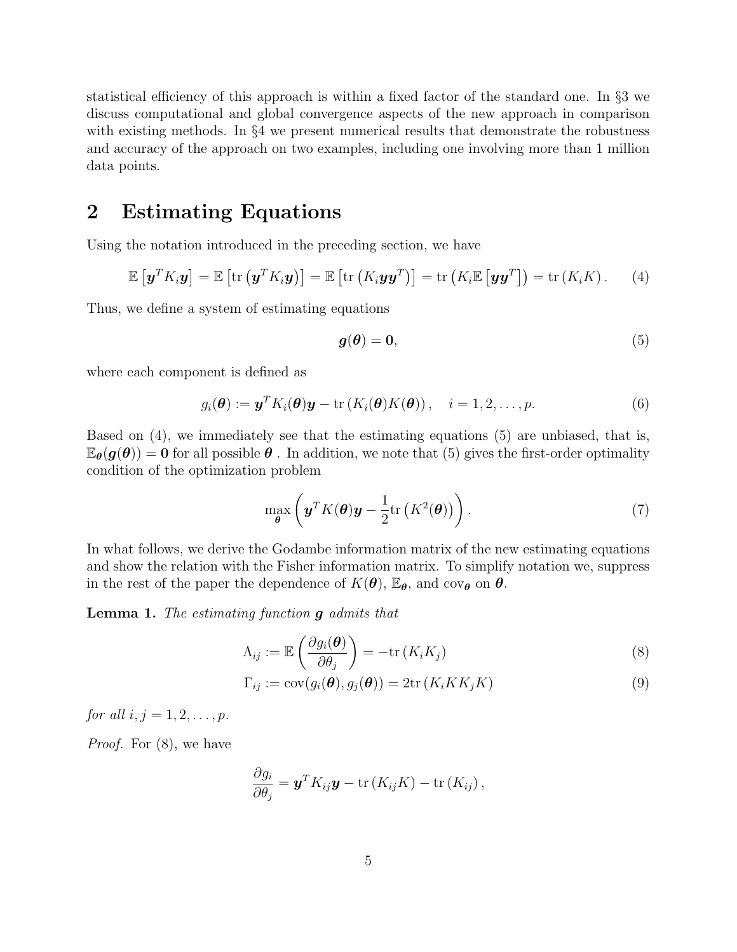statistical efficiency of this approach is within a fixed factor of the standard one. In §3 we discuss computational and global convergence aspects of the new approach in comparison with existing methods. In §4 we present numerical results that demonstrate the robustness and accuracy of the approach on two examples, including one involving more than 1 million data points.

### 2 Estimating Equations

Using the notation introduced in the preceding section, we have

$$
\mathbb{E}\left[\mathbf{y}^T K_i \mathbf{y}\right] = \mathbb{E}\left[\text{tr}\left(\mathbf{y}^T K_i \mathbf{y}\right)\right] = \mathbb{E}\left[\text{tr}\left(K_i \mathbf{y} \mathbf{y}^T\right)\right] = \text{tr}\left(K_i \mathbb{E}\left[\mathbf{y} \mathbf{y}^T\right]\right) = \text{tr}\left(K_i K\right). \tag{4}
$$

Thus, we define a system of estimating equations

$$
g(\theta) = 0,\tag{5}
$$

where each component is defined as

$$
g_i(\boldsymbol{\theta}) := \boldsymbol{y}^T K_i(\boldsymbol{\theta}) \boldsymbol{y} - \text{tr}\left(K_i(\boldsymbol{\theta}) K(\boldsymbol{\theta})\right), \quad i = 1, 2, \dots, p. \tag{6}
$$

Based on (4), we immediately see that the estimating equations (5) are unbiased, that is,  $\mathbb{E}_{\theta}(g(\theta)) = 0$  for all possible  $\theta$ . In addition, we note that (5) gives the first-order optimality condition of the optimization problem

$$
\max_{\boldsymbol{\theta}} \left( \boldsymbol{y}^T K(\boldsymbol{\theta}) \boldsymbol{y} - \frac{1}{2} \text{tr}\left( K^2(\boldsymbol{\theta}) \right) \right). \tag{7}
$$

In what follows, we derive the Godambe information matrix of the new estimating equations and show the relation with the Fisher information matrix. To simplify notation we, suppress in the rest of the paper the dependence of  $K(\theta)$ ,  $\mathbb{E}_{\theta}$ , and cov<sub> $\theta$ </sub> on  $\theta$ .

**Lemma 1.** The estimating function  $\boldsymbol{g}$  admits that

$$
\Lambda_{ij} := \mathbb{E}\left(\frac{\partial g_i(\boldsymbol{\theta})}{\partial \theta_j}\right) = -\text{tr}\left(K_i K_j\right) \tag{8}
$$

$$
\Gamma_{ij} := \text{cov}(g_i(\boldsymbol{\theta}), g_j(\boldsymbol{\theta})) = 2 \text{tr}(K_i K K_j K) \tag{9}
$$

for all  $i, j = 1, 2, ..., p$ .

Proof. For (8), we have

$$
\frac{\partial g_i}{\partial \theta_j} = \boldsymbol{y}^T K_{ij} \boldsymbol{y} - \text{tr}(K_{ij} K) - \text{tr}(K_{ij}),
$$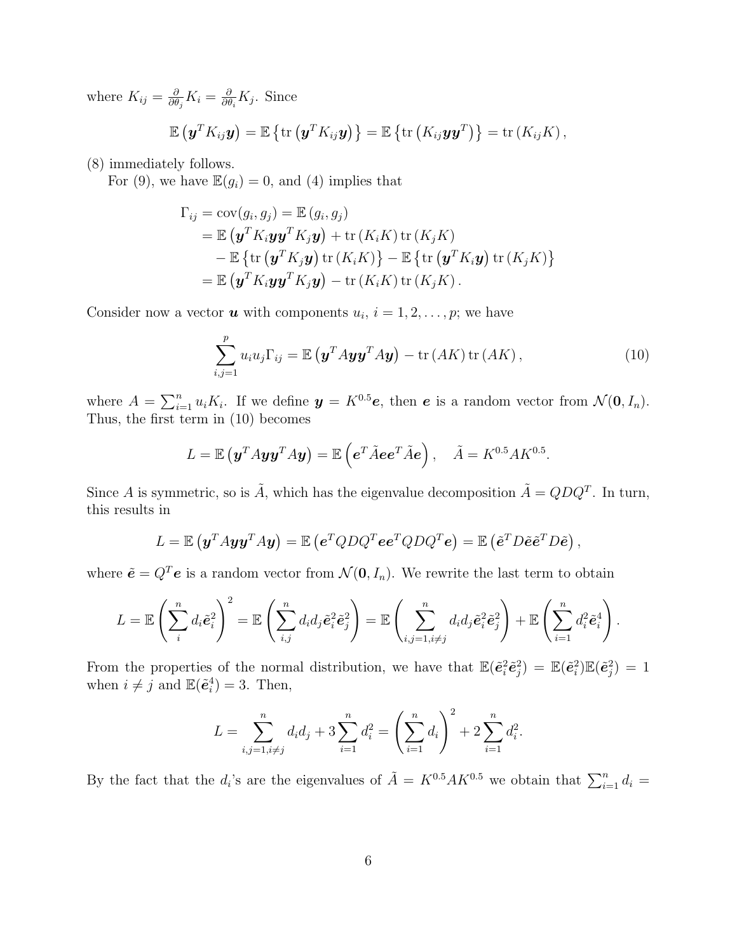where  $K_{ij} = \frac{\partial}{\partial \theta}$  $\frac{\partial}{\partial \theta_j} K_i = \frac{\partial}{\partial \theta}$  $\frac{\partial}{\partial \theta_i} K_j$ . Since

$$
\mathbb{E}\left(\mathbf{y}^T K_{ij}\mathbf{y}\right) = \mathbb{E}\left\{\text{tr}\left(\mathbf{y}^T K_{ij}\mathbf{y}\right)\right\} = \mathbb{E}\left\{\text{tr}\left(K_{ij}\mathbf{y}\mathbf{y}^T\right)\right\} = \text{tr}\left(K_{ij}K\right),
$$

(8) immediately follows.

For (9), we have  $\mathbb{E}(g_i) = 0$ , and (4) implies that

$$
\Gamma_{ij} = \text{cov}(g_i, g_j) = \mathbb{E}(g_i, g_j)
$$
  
=  $\mathbb{E}(\mathbf{y}^T K_i \mathbf{y} \mathbf{y}^T K_j \mathbf{y}) + \text{tr}(K_i K) \text{tr}(K_j K)$   
-  $\mathbb{E} \{ \text{tr}(\mathbf{y}^T K_j \mathbf{y}) \text{tr}(K_i K) \} - \mathbb{E} \{ \text{tr}(\mathbf{y}^T K_i \mathbf{y}) \text{tr}(K_j K) \}$   
=  $\mathbb{E}(\mathbf{y}^T K_i \mathbf{y} \mathbf{y}^T K_j \mathbf{y}) - \text{tr}(K_i K) \text{tr}(K_j K).$ 

Consider now a vector **u** with components  $u_i$ ,  $i = 1, 2, ..., p$ ; we have

$$
\sum_{i,j=1}^{p} u_i u_j \Gamma_{ij} = \mathbb{E} \left( \mathbf{y}^T A \mathbf{y} \mathbf{y}^T A \mathbf{y} \right) - \text{tr} \left( A K \right) \text{tr} \left( A K \right), \tag{10}
$$

where  $A = \sum_{i=1}^{n} u_i K_i$ . If we define  $y = K^{0.5}e$ , then e is a random vector from  $\mathcal{N}(0, I_n)$ . Thus, the first term in (10) becomes

$$
L = \mathbb{E}(\mathbf{y}^T A \mathbf{y} \mathbf{y}^T A \mathbf{y}) = \mathbb{E}(\mathbf{e}^T \tilde{A} \mathbf{e} \mathbf{e}^T \tilde{A} \mathbf{e}), \quad \tilde{A} = K^{0.5} A K^{0.5}.
$$

Since A is symmetric, so is  $\tilde{A}$ , which has the eigenvalue decomposition  $\tilde{A} = QDQ^{T}$ . In turn, this results in

$$
L = \mathbb{E} \left( \mathbf{y}^T A \mathbf{y} \mathbf{y}^T A \mathbf{y} \right) = \mathbb{E} \left( \mathbf{e}^T Q D Q^T \mathbf{e} \mathbf{e}^T Q D Q^T \mathbf{e} \right) = \mathbb{E} \left( \tilde{\mathbf{e}}^T D \tilde{\mathbf{e}} \tilde{\mathbf{e}}^T D \tilde{\mathbf{e}} \right),
$$

where  $\tilde{\mathbf{e}} = Q^T \mathbf{e}$  is a random vector from  $\mathcal{N}(\mathbf{0}, I_n)$ . We rewrite the last term to obtain

$$
L = \mathbb{E}\left(\sum_{i=1}^{n} d_i \tilde{\boldsymbol{e}}_i^2\right)^2 = \mathbb{E}\left(\sum_{i,j=1}^{n} d_i d_j \tilde{\boldsymbol{e}}_i^2 \tilde{\boldsymbol{e}}_j^2\right) = \mathbb{E}\left(\sum_{i,j=1, i\neq j}^{n} d_i d_j \tilde{\boldsymbol{e}}_i^2 \tilde{\boldsymbol{e}}_j^2\right) + \mathbb{E}\left(\sum_{i=1}^{n} d_i^2 \tilde{\boldsymbol{e}}_i^4\right).
$$

From the properties of the normal distribution, we have that  $\mathbb{E}(\tilde{\epsilon}_i^2 \tilde{\epsilon}_j^2) = \mathbb{E}(\tilde{\epsilon}_i^2) \mathbb{E}(\tilde{\epsilon}_j^2) = 1$ when  $i \neq j$  and  $\mathbb{E}(\tilde{\mathbf{e}}_i^4) = 3$ . Then,

$$
L = \sum_{i,j=1, i \neq j}^{n} d_i d_j + 3 \sum_{i=1}^{n} d_i^2 = \left(\sum_{i=1}^{n} d_i\right)^2 + 2 \sum_{i=1}^{n} d_i^2.
$$

By the fact that the  $d_i$ 's are the eigenvalues of  $\tilde{A} = K^{0.5} A K^{0.5}$  we obtain that  $\sum_{i=1}^n d_i =$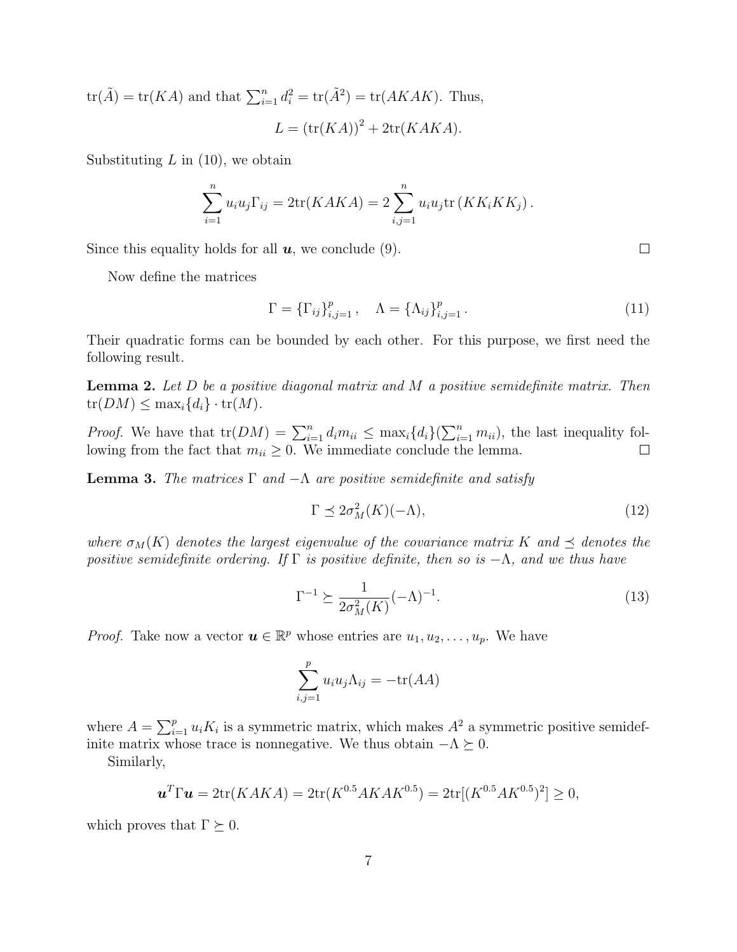$\text{tr}(\tilde{A}) = \text{tr}(KA)$  and that  $\sum_{i=1}^{n} d_i^2 = \text{tr}(\tilde{A}^2) = \text{tr}(AKAK)$ . Thus,  $L = (\text{tr}(KA))^2 + 2\text{tr}(KAKA).$ 

Substituting  $L$  in (10), we obtain

$$
\sum_{i=1}^{n} u_i u_j \Gamma_{ij} = 2 \text{tr}(KAKA) = 2 \sum_{i,j=1}^{n} u_i u_j \text{tr}(KK_i K K_j).
$$

Since this equality holds for all  $u$ , we conclude (9).

Now define the matrices

$$
\Gamma = {\{\Gamma_{ij}\}}_{i,j=1}^p, \quad \Lambda = {\{\Lambda_{ij}\}}_{i,j=1}^p.
$$
 (11)

Their quadratic forms can be bounded by each other. For this purpose, we first need the following result.

**Lemma 2.** Let  $D$  be a positive diagonal matrix and  $M$  a positive semidefinite matrix. Then  $tr(DM) \leq \max_i \{d_i\} \cdot tr(M).$ 

*Proof.* We have that  $tr(DM) = \sum_{i=1}^{n} d_i m_{ii} \leq \max_i \{d_i\} (\sum_{i=1}^{n} m_{ii})$ , the last inequality following from the fact that  $m_{ii} \geq 0$ . We immediate conclude the lemma.

**Lemma 3.** The matrices  $\Gamma$  and  $-\Lambda$  are positive semidefinite and satisfy

$$
\Gamma \preceq 2\sigma_M^2(K)(-\Lambda),\tag{12}
$$

where  $\sigma_M(K)$  denotes the largest eigenvalue of the covariance matrix K and  $\prec$  denotes the positive semidefinite ordering. If  $\Gamma$  is positive definite, then so is  $-\Lambda$ , and we thus have

$$
\Gamma^{-1} \succeq \frac{1}{2\sigma_M^2(K)} (-\Lambda)^{-1}.
$$
\n
$$
(13)
$$

*Proof.* Take now a vector  $u \in \mathbb{R}^p$  whose entries are  $u_1, u_2, \ldots, u_p$ . We have

$$
\sum_{i,j=1}^{p} u_i u_j \Lambda_{ij} = -\text{tr}(AA)
$$

where  $A = \sum_{i=1}^{p} u_i K_i$  is a symmetric matrix, which makes  $A^2$  a symmetric positive semidefinite matrix whose trace is nonnegative. We thus obtain  $-\Lambda \succeq 0$ .

Similarly,

$$
\mathbf{u}^T \Gamma \mathbf{u} = 2 \text{tr}(KAKA) = 2 \text{tr}(K^{0.5}AKAK^{0.5}) = 2 \text{tr}[(K^{0.5}AK^{0.5})^2] \ge 0,
$$

which proves that  $\Gamma \succeq 0$ .

 $\Box$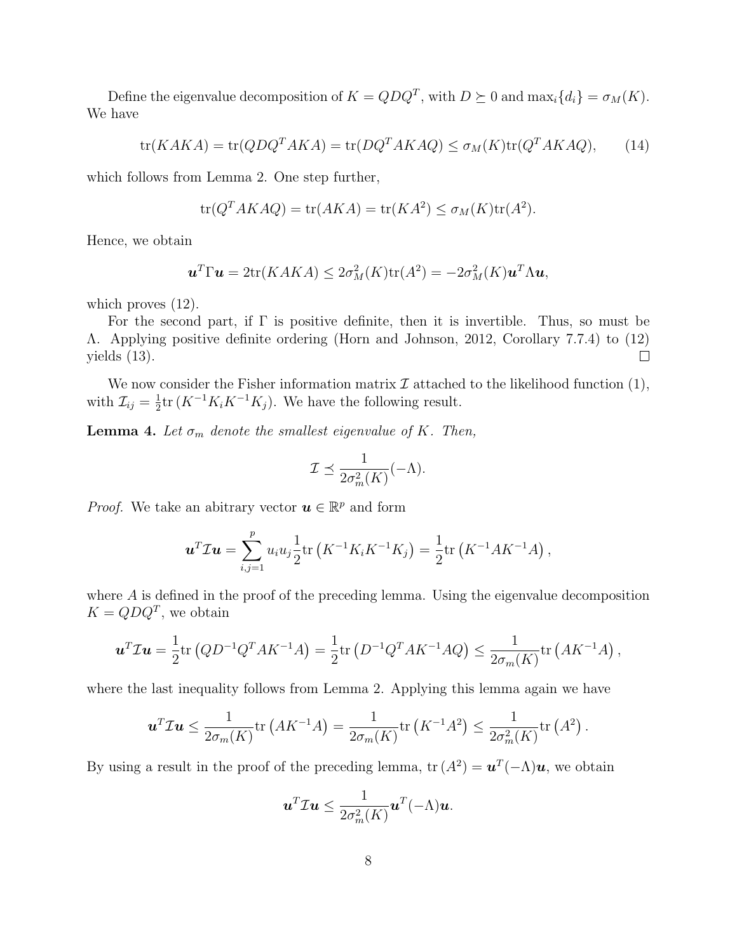Define the eigenvalue decomposition of  $K = QDQ^T$ , with  $D \succeq 0$  and  $\max_i \{d_i\} = \sigma_M(K)$ . We have

$$
\text{tr}(KAKA) = \text{tr}(QDQ^TAKA) = \text{tr}(DQ^TAKAQ) \le \sigma_M(K)\text{tr}(Q^TAKAQ),\tag{14}
$$

which follows from Lemma 2. One step further,

$$
\operatorname{tr}(Q^T AKAQ) = \operatorname{tr}(AKA) = \operatorname{tr}(KA^2) \le \sigma_M(K)\operatorname{tr}(A^2).
$$

Hence, we obtain

$$
\mathbf{u}^T \Gamma \mathbf{u} = 2 \text{tr}(KAKA) \leq 2\sigma_M^2(K) \text{tr}(A^2) = -2\sigma_M^2(K)\mathbf{u}^T \Lambda \mathbf{u},
$$

which proves  $(12)$ .

For the second part, if  $\Gamma$  is positive definite, then it is invertible. Thus, so must be Λ. Applying positive definite ordering (Horn and Johnson, 2012, Corollary 7.7.4) to (12) yields (13).  $\Box$ 

We now consider the Fisher information matrix  $\mathcal I$  attached to the likelihood function (1), with  $\mathcal{I}_{ij} = \frac{1}{2}$  $\frac{1}{2}$ tr (K<sup>-1</sup>K<sub>i</sub>K<sup>-1</sup>K<sub>j</sub>). We have the following result.

**Lemma 4.** Let  $\sigma_m$  denote the smallest eigenvalue of K. Then,

$$
\mathcal{I} \preceq \frac{1}{2\sigma_m^2(K)}(-\Lambda).
$$

*Proof.* We take an abitrary vector  $u \in \mathbb{R}^p$  and form

$$
\boldsymbol{u}^T \mathcal{I} \boldsymbol{u} = \sum_{i,j=1}^p u_i u_j \frac{1}{2} \text{tr} \left( K^{-1} K_i K^{-1} K_j \right) = \frac{1}{2} \text{tr} \left( K^{-1} A K^{-1} A \right),
$$

where A is defined in the proof of the preceding lemma. Using the eigenvalue decomposition  $K = QDQ<sup>T</sup>$ , we obtain

$$
\mathbf{u}^T \mathcal{I} \mathbf{u} = \frac{1}{2} tr (Q D^{-1} Q^T A K^{-1} A) = \frac{1}{2} tr (D^{-1} Q^T A K^{-1} A Q) \le \frac{1}{2 \sigma_m(K)} tr (A K^{-1} A) ,
$$

where the last inequality follows from Lemma 2. Applying this lemma again we have

$$
\mathbf{u}^T \mathcal{I} \mathbf{u} \le \frac{1}{2\sigma_m(K)} \text{tr} \left( A K^{-1} A \right) = \frac{1}{2\sigma_m(K)} \text{tr} \left( K^{-1} A^2 \right) \le \frac{1}{2\sigma_m^2(K)} \text{tr} \left( A^2 \right).
$$

By using a result in the proof of the preceding lemma,  $\text{tr}(A^2) = \mathbf{u}^T(-\Lambda)\mathbf{u}$ , we obtain

$$
\boldsymbol{u}^T\mathcal{I}\boldsymbol{u}\leq \frac{1}{2\sigma_m^2(K)}\boldsymbol{u}^T(-\Lambda)\boldsymbol{u}.
$$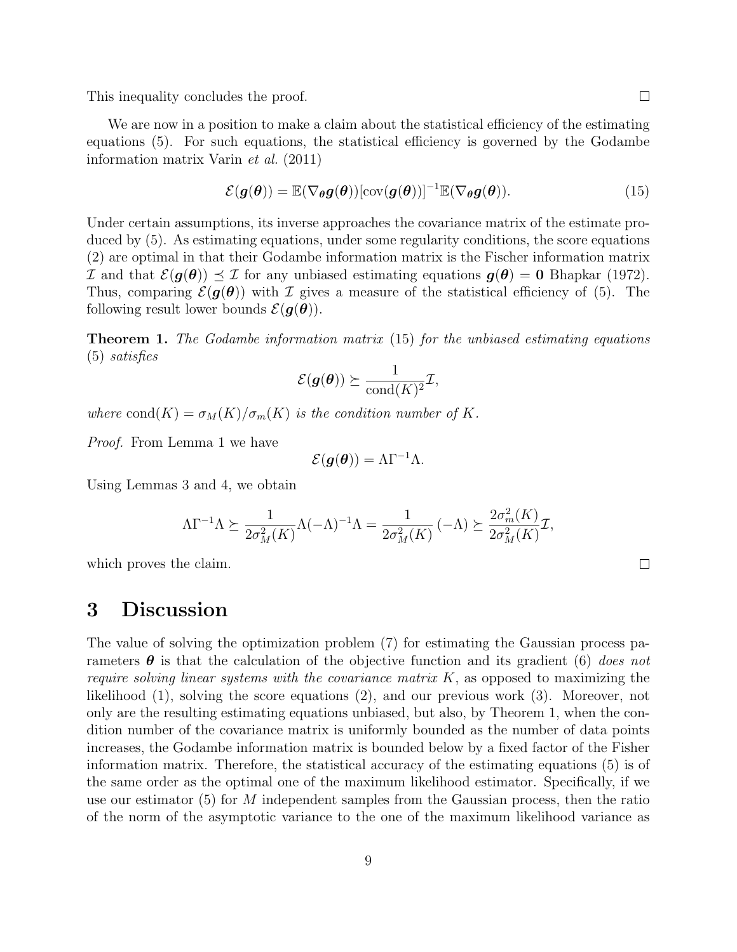This inequality concludes the proof.

We are now in a position to make a claim about the statistical efficiency of the estimating equations (5). For such equations, the statistical efficiency is governed by the Godambe information matrix Varin et al. (2011)

$$
\mathcal{E}(\boldsymbol{g}(\boldsymbol{\theta})) = \mathbb{E}(\nabla_{\boldsymbol{\theta}} \boldsymbol{g}(\boldsymbol{\theta})) [\text{cov}(\boldsymbol{g}(\boldsymbol{\theta}))]^{-1} \mathbb{E}(\nabla_{\boldsymbol{\theta}} \boldsymbol{g}(\boldsymbol{\theta})).
$$
\n(15)

Under certain assumptions, its inverse approaches the covariance matrix of the estimate produced by (5). As estimating equations, under some regularity conditions, the score equations (2) are optimal in that their Godambe information matrix is the Fischer information matrix I and that  $\mathcal{E}(\mathbf{g}(\theta)) \preceq \mathcal{I}$  for any unbiased estimating equations  $\mathbf{g}(\theta) = 0$  Bhapkar (1972). Thus, comparing  $\mathcal{E}(\mathbf{g}(\theta))$  with I gives a measure of the statistical efficiency of (5). The following result lower bounds  $\mathcal{E}(\boldsymbol{g}(\boldsymbol{\theta}))$ .

Theorem 1. The Godambe information matrix (15) for the unbiased estimating equations (5) satisfies

$$
\mathcal{E}(\bm{g}(\bm{\theta})) \succeq \frac{1}{\text{cond}(K)^2} \mathcal{I},
$$

where cond(K) =  $\sigma_M(K)/\sigma_m(K)$  is the condition number of K.

Proof. From Lemma 1 we have

$$
\mathcal{E}(\boldsymbol{g}(\boldsymbol{\theta})) = \Lambda \Gamma^{-1} \Lambda.
$$

Using Lemmas 3 and 4, we obtain

$$
\Lambda \Gamma^{-1} \Lambda \succeq \frac{1}{2\sigma_M^2(K)} \Lambda (-\Lambda)^{-1} \Lambda = \frac{1}{2\sigma_M^2(K)} \left( -\Lambda \right) \succeq \frac{2\sigma_m^2(K)}{2\sigma_M^2(K)} \mathcal{I},
$$

which proves the claim.

### 3 Discussion

The value of solving the optimization problem (7) for estimating the Gaussian process parameters  $\theta$  is that the calculation of the objective function and its gradient (6) does not require solving linear systems with the covariance matrix  $K$ , as opposed to maximizing the likelihood (1), solving the score equations (2), and our previous work (3). Moreover, not only are the resulting estimating equations unbiased, but also, by Theorem 1, when the condition number of the covariance matrix is uniformly bounded as the number of data points increases, the Godambe information matrix is bounded below by a fixed factor of the Fisher information matrix. Therefore, the statistical accuracy of the estimating equations (5) is of the same order as the optimal one of the maximum likelihood estimator. Specifically, if we use our estimator  $(5)$  for M independent samples from the Gaussian process, then the ratio of the norm of the asymptotic variance to the one of the maximum likelihood variance as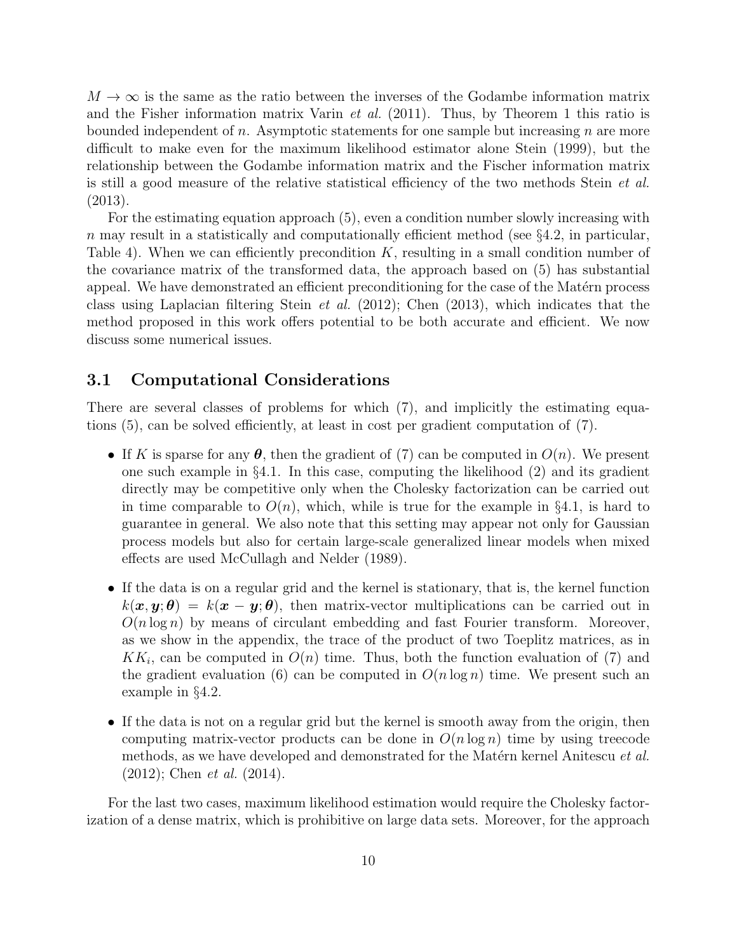$M \to \infty$  is the same as the ratio between the inverses of the Godambe information matrix and the Fisher information matrix Varin et al. (2011). Thus, by Theorem 1 this ratio is bounded independent of n. Asymptotic statements for one sample but increasing n are more difficult to make even for the maximum likelihood estimator alone Stein (1999), but the relationship between the Godambe information matrix and the Fischer information matrix is still a good measure of the relative statistical efficiency of the two methods Stein et al. (2013).

For the estimating equation approach (5), even a condition number slowly increasing with n may result in a statistically and computationally efficient method (see  $\S 4.2$ , in particular, Table 4). When we can efficiently precondition  $K$ , resulting in a small condition number of the covariance matrix of the transformed data, the approach based on (5) has substantial appeal. We have demonstrated an efficient preconditioning for the case of the Matérn process class using Laplacian filtering Stein et al. (2012); Chen (2013), which indicates that the method proposed in this work offers potential to be both accurate and efficient. We now discuss some numerical issues.

#### 3.1 Computational Considerations

There are several classes of problems for which (7), and implicitly the estimating equations (5), can be solved efficiently, at least in cost per gradient computation of (7).

- If K is sparse for any  $\theta$ , then the gradient of (7) can be computed in  $O(n)$ . We present one such example in §4.1. In this case, computing the likelihood (2) and its gradient directly may be competitive only when the Cholesky factorization can be carried out in time comparable to  $O(n)$ , which, while is true for the example in §4.1, is hard to guarantee in general. We also note that this setting may appear not only for Gaussian process models but also for certain large-scale generalized linear models when mixed effects are used McCullagh and Nelder (1989).
- If the data is on a regular grid and the kernel is stationary, that is, the kernel function  $k(x, y; \theta) = k(x - y; \theta)$ , then matrix-vector multiplications can be carried out in  $O(n \log n)$  by means of circulant embedding and fast Fourier transform. Moreover, as we show in the appendix, the trace of the product of two Toeplitz matrices, as in  $KK_i$ , can be computed in  $O(n)$  time. Thus, both the function evaluation of (7) and the gradient evaluation (6) can be computed in  $O(n \log n)$  time. We present such an example in §4.2.
- If the data is not on a regular grid but the kernel is smooth away from the origin, then computing matrix-vector products can be done in  $O(n \log n)$  time by using treecode methods, as we have developed and demonstrated for the Matérn kernel Anitescu et al. (2012); Chen et al. (2014).

For the last two cases, maximum likelihood estimation would require the Cholesky factorization of a dense matrix, which is prohibitive on large data sets. Moreover, for the approach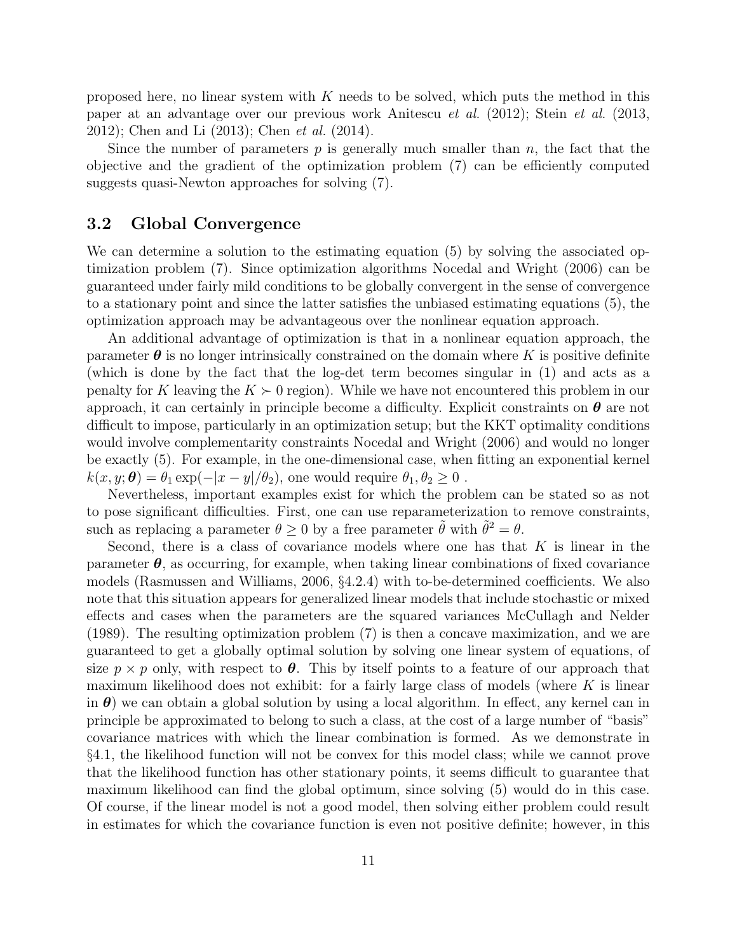proposed here, no linear system with  $K$  needs to be solved, which puts the method in this paper at an advantage over our previous work Anitescu et al. (2012); Stein et al. (2013, 2012); Chen and Li (2013); Chen et al. (2014).

Since the number of parameters  $p$  is generally much smaller than  $n$ , the fact that the objective and the gradient of the optimization problem (7) can be efficiently computed suggests quasi-Newton approaches for solving (7).

#### 3.2 Global Convergence

We can determine a solution to the estimating equation (5) by solving the associated optimization problem (7). Since optimization algorithms Nocedal and Wright (2006) can be guaranteed under fairly mild conditions to be globally convergent in the sense of convergence to a stationary point and since the latter satisfies the unbiased estimating equations (5), the optimization approach may be advantageous over the nonlinear equation approach.

An additional advantage of optimization is that in a nonlinear equation approach, the parameter  $\boldsymbol{\theta}$  is no longer intrinsically constrained on the domain where K is positive definite (which is done by the fact that the log-det term becomes singular in (1) and acts as a penalty for K leaving the  $K \succ 0$  region). While we have not encountered this problem in our approach, it can certainly in principle become a difficulty. Explicit constraints on  $\theta$  are not difficult to impose, particularly in an optimization setup; but the KKT optimality conditions would involve complementarity constraints Nocedal and Wright (2006) and would no longer be exactly (5). For example, in the one-dimensional case, when fitting an exponential kernel  $k(x, y; \theta) = \theta_1 \exp(-|x - y|/\theta_2)$ , one would require  $\theta_1, \theta_2 \geq 0$ .

Nevertheless, important examples exist for which the problem can be stated so as not to pose significant difficulties. First, one can use reparameterization to remove constraints, such as replacing a parameter  $\theta \ge 0$  by a free parameter  $\tilde{\theta}$  with  $\tilde{\theta}^2 = \theta$ .

Second, there is a class of covariance models where one has that  $K$  is linear in the parameter  $\theta$ , as occurring, for example, when taking linear combinations of fixed covariance models (Rasmussen and Williams, 2006, §4.2.4) with to-be-determined coefficients. We also note that this situation appears for generalized linear models that include stochastic or mixed effects and cases when the parameters are the squared variances McCullagh and Nelder (1989). The resulting optimization problem (7) is then a concave maximization, and we are guaranteed to get a globally optimal solution by solving one linear system of equations, of size  $p \times p$  only, with respect to  $\theta$ . This by itself points to a feature of our approach that maximum likelihood does not exhibit: for a fairly large class of models (where  $K$  is linear in  $\theta$ ) we can obtain a global solution by using a local algorithm. In effect, any kernel can in principle be approximated to belong to such a class, at the cost of a large number of "basis" covariance matrices with which the linear combination is formed. As we demonstrate in §4.1, the likelihood function will not be convex for this model class; while we cannot prove that the likelihood function has other stationary points, it seems difficult to guarantee that maximum likelihood can find the global optimum, since solving (5) would do in this case. Of course, if the linear model is not a good model, then solving either problem could result in estimates for which the covariance function is even not positive definite; however, in this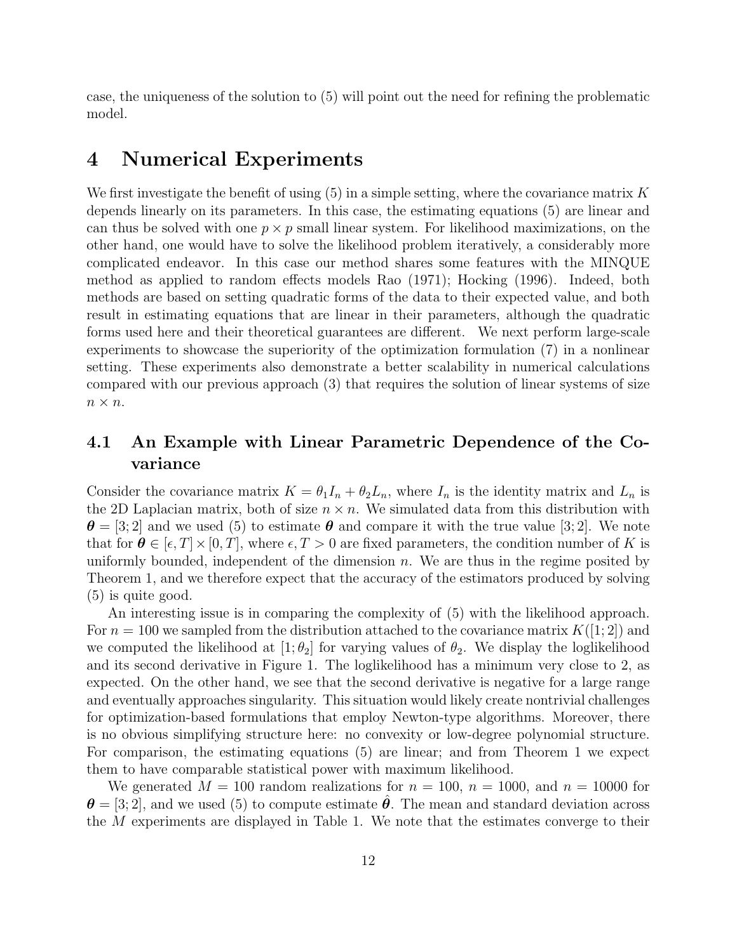case, the uniqueness of the solution to (5) will point out the need for refining the problematic model.

### 4 Numerical Experiments

We first investigate the benefit of using  $(5)$  in a simple setting, where the covariance matrix K depends linearly on its parameters. In this case, the estimating equations (5) are linear and can thus be solved with one  $p \times p$  small linear system. For likelihood maximizations, on the other hand, one would have to solve the likelihood problem iteratively, a considerably more complicated endeavor. In this case our method shares some features with the MINQUE method as applied to random effects models Rao (1971); Hocking (1996). Indeed, both methods are based on setting quadratic forms of the data to their expected value, and both result in estimating equations that are linear in their parameters, although the quadratic forms used here and their theoretical guarantees are different. We next perform large-scale experiments to showcase the superiority of the optimization formulation (7) in a nonlinear setting. These experiments also demonstrate a better scalability in numerical calculations compared with our previous approach (3) that requires the solution of linear systems of size  $n\times n.$ 

### 4.1 An Example with Linear Parametric Dependence of the Covariance

Consider the covariance matrix  $K = \theta_1 I_n + \theta_2 L_n$ , where  $I_n$  is the identity matrix and  $L_n$  is the 2D Laplacian matrix, both of size  $n \times n$ . We simulated data from this distribution with  $\theta = [3; 2]$  and we used (5) to estimate  $\theta$  and compare it with the true value [3; 2]. We note that for  $\theta \in [\epsilon, T] \times [0, T]$ , where  $\epsilon, T > 0$  are fixed parameters, the condition number of K is uniformly bounded, independent of the dimension  $n$ . We are thus in the regime posited by Theorem 1, and we therefore expect that the accuracy of the estimators produced by solving (5) is quite good.

An interesting issue is in comparing the complexity of (5) with the likelihood approach. For  $n = 100$  we sampled from the distribution attached to the covariance matrix  $K([1; 2])$  and we computed the likelihood at  $[1; \theta_2]$  for varying values of  $\theta_2$ . We display the loglikelihood and its second derivative in Figure 1. The loglikelihood has a minimum very close to 2, as expected. On the other hand, we see that the second derivative is negative for a large range and eventually approaches singularity. This situation would likely create nontrivial challenges for optimization-based formulations that employ Newton-type algorithms. Moreover, there is no obvious simplifying structure here: no convexity or low-degree polynomial structure. For comparison, the estimating equations (5) are linear; and from Theorem 1 we expect them to have comparable statistical power with maximum likelihood.

We generated  $M = 100$  random realizations for  $n = 100$ ,  $n = 1000$ , and  $n = 10000$  for  $\theta = [3, 2]$ , and we used (5) to compute estimate  $\theta$ . The mean and standard deviation across the M experiments are displayed in Table 1. We note that the estimates converge to their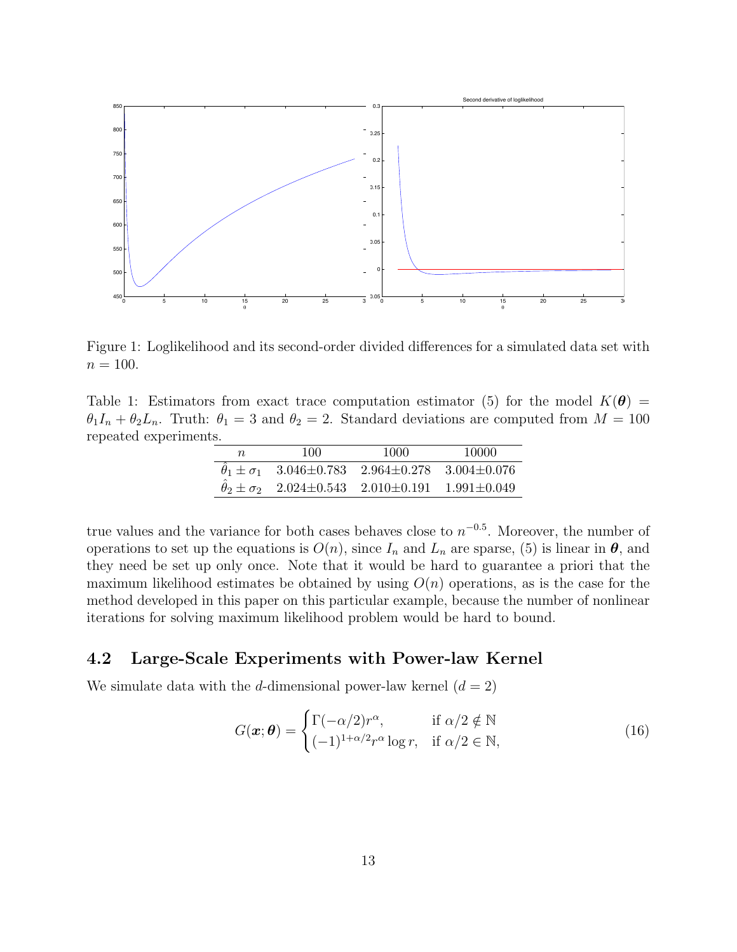

Figure 1: Loglikelihood and its second-order divided differences for a simulated data set with  $n = 100$ .

Table 1: Estimators from exact trace computation estimator (5) for the model  $K(\theta)$  =  $\theta_1 I_n + \theta_2 L_n$ . Truth:  $\theta_1 = 3$  and  $\theta_2 = 2$ . Standard deviations are computed from  $M = 100$ repeated experiments.

| $n_{\rm c}$ | 100                                                               | 1000 | 10000 |
|-------------|-------------------------------------------------------------------|------|-------|
|             | $\theta_1 \pm \sigma_1$ 3.046±0.783 2.964±0.278 3.004±0.076       |      |       |
|             | $\hat{\theta}_2 \pm \sigma_2$ 2.024±0.543 2.010±0.191 1.991±0.049 |      |       |

true values and the variance for both cases behaves close to  $n^{-0.5}$ . Moreover, the number of operations to set up the equations is  $O(n)$ , since  $I_n$  and  $L_n$  are sparse, (5) is linear in  $\theta$ , and they need be set up only once. Note that it would be hard to guarantee a priori that the maximum likelihood estimates be obtained by using  $O(n)$  operations, as is the case for the method developed in this paper on this particular example, because the number of nonlinear iterations for solving maximum likelihood problem would be hard to bound.

### 4.2 Large-Scale Experiments with Power-law Kernel

We simulate data with the d-dimensional power-law kernel  $(d = 2)$ 

$$
G(\boldsymbol{x};\boldsymbol{\theta}) = \begin{cases} \Gamma(-\alpha/2)r^{\alpha}, & \text{if } \alpha/2 \notin \mathbb{N} \\ (-1)^{1+\alpha/2}r^{\alpha}\log r, & \text{if } \alpha/2 \in \mathbb{N}, \end{cases}
$$
(16)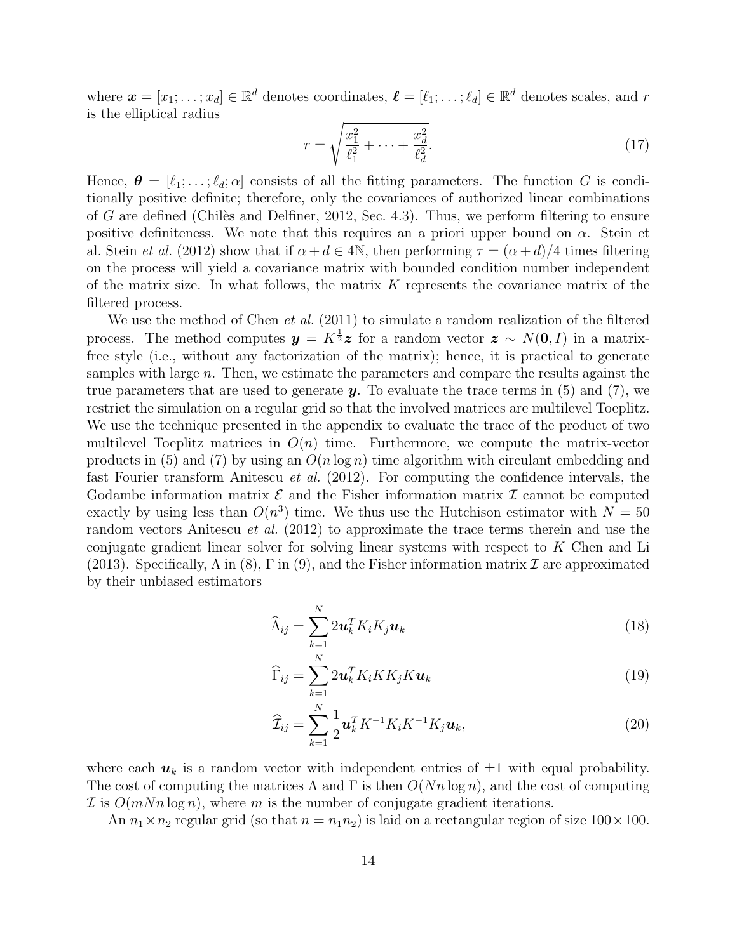where  $\boldsymbol{x} = [x_1; \dots; x_d] \in \mathbb{R}^d$  denotes coordinates,  $\boldsymbol{\ell} = [\ell_1; \dots; \ell_d] \in \mathbb{R}^d$  denotes scales, and r is the elliptical radius

$$
r = \sqrt{\frac{x_1^2}{\ell_1^2} + \dots + \frac{x_d^2}{\ell_d^2}}.\tag{17}
$$

Hence,  $\boldsymbol{\theta} = [\ell_1; \dots; \ell_d; \alpha]$  consists of all the fitting parameters. The function G is conditionally positive definite; therefore, only the covariances of authorized linear combinations of G are defined (Chiles and Delfiner, 2012, Sec. 4.3). Thus, we perform filtering to ensure positive definiteness. We note that this requires an a priori upper bound on  $\alpha$ . Stein et al. Stein *et al.* (2012) show that if  $\alpha + d \in 4\mathbb{N}$ , then performing  $\tau = (\alpha + d)/4$  times filtering on the process will yield a covariance matrix with bounded condition number independent of the matrix size. In what follows, the matrix  $K$  represents the covariance matrix of the filtered process.

We use the method of Chen *et al.* (2011) to simulate a random realization of the filtered process. The method computes  $y = K^{\frac{1}{2}}z$  for a random vector  $z \sim N(0, I)$  in a matrixfree style (i.e., without any factorization of the matrix); hence, it is practical to generate samples with large  $n$ . Then, we estimate the parameters and compare the results against the true parameters that are used to generate  $y$ . To evaluate the trace terms in (5) and (7), we restrict the simulation on a regular grid so that the involved matrices are multilevel Toeplitz. We use the technique presented in the appendix to evaluate the trace of the product of two multilevel Toeplitz matrices in  $O(n)$  time. Furthermore, we compute the matrix-vector products in (5) and (7) by using an  $O(n \log n)$  time algorithm with circulant embedding and fast Fourier transform Anitescu et al. (2012). For computing the confidence intervals, the Godambe information matrix  $\mathcal E$  and the Fisher information matrix  $\mathcal I$  cannot be computed exactly by using less than  $O(n^3)$  time. We thus use the Hutchison estimator with  $N = 50$ random vectors Anitescu *et al.* (2012) to approximate the trace terms therein and use the conjugate gradient linear solver for solving linear systems with respect to K Chen and Li (2013). Specifically,  $\Lambda$  in (8),  $\Gamma$  in (9), and the Fisher information matrix  $\mathcal I$  are approximated by their unbiased estimators

$$
\widehat{\Lambda}_{ij} = \sum_{k=1}^{N} 2\boldsymbol{u}_k^T K_i K_j \boldsymbol{u}_k
$$
\n(18)

$$
\widehat{\Gamma}_{ij} = \sum_{k=1}^{N} 2\mathbf{u}_k^T K_i K K_j K \mathbf{u}_k
$$
\n(19)

$$
\widehat{\mathcal{I}}_{ij} = \sum_{k=1}^{N} \frac{1}{2} \mathbf{u}_k^T K^{-1} K_i K^{-1} K_j \mathbf{u}_k, \qquad (20)
$$

where each  $u_k$  is a random vector with independent entries of  $\pm 1$  with equal probability. The cost of computing the matrices  $\Lambda$  and  $\Gamma$  is then  $O(Nn \log n)$ , and the cost of computing  $\mathcal I$  is  $O(mNn \log n)$ , where m is the number of conjugate gradient iterations.

An  $n_1 \times n_2$  regular grid (so that  $n = n_1 n_2$ ) is laid on a rectangular region of size  $100 \times 100$ .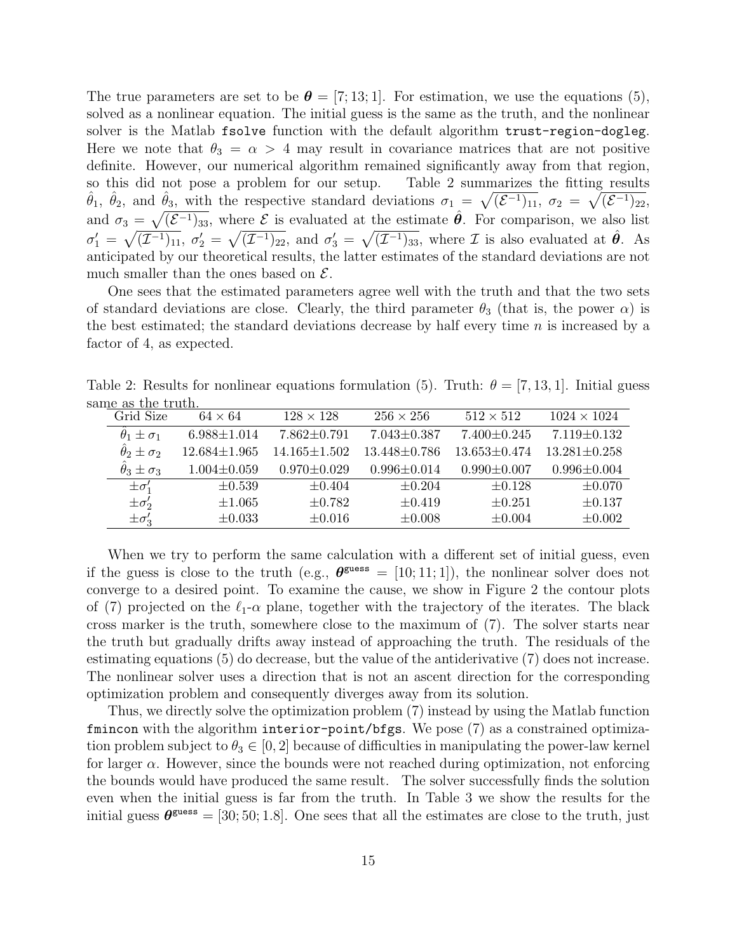The true parameters are set to be  $\boldsymbol{\theta} = [7, 13, 1]$ . For estimation, we use the equations (5), solved as a nonlinear equation. The initial guess is the same as the truth, and the nonlinear solver is the Matlab fsolve function with the default algorithm trust-region-dogleg. Here we note that  $\theta_3 = \alpha > 4$  may result in covariance matrices that are not positive definite. However, our numerical algorithm remained significantly away from that region, so this did not pose a problem for our setup. Table 2 summarizes the fitting results  $\hat{\theta}_1$ ,  $\hat{\theta}_2$ , and  $\hat{\theta}_3$ , with the respective standard deviations  $\sigma_1 = \sqrt{(\mathcal{E}^{-1})_{11}}, \sigma_2 = \sqrt{(\mathcal{E}^{-1})_{22}},$ and  $\sigma_3 = \sqrt{(\mathcal{E}^{-1})_{33}}$ , where  $\mathcal E$  is evaluated at the estimate  $\hat{\theta}$ . For comparison, we also list  $\sigma'_1 = \sqrt{(\mathcal{I}^{-1})_{11}}, \sigma'_2 = \sqrt{(\mathcal{I}^{-1})_{22}}, \text{ and } \sigma'_3 = \sqrt{(\mathcal{I}^{-1})_{33}}, \text{ where } \mathcal{I} \text{ is also evaluated at } \hat{\theta}.$  As anticipated by our theoretical results, the latter estimates of the standard deviations are not much smaller than the ones based on  $\mathcal{E}$ .

One sees that the estimated parameters agree well with the truth and that the two sets of standard deviations are close. Clearly, the third parameter  $\theta_3$  (that is, the power  $\alpha$ ) is the best estimated; the standard deviations decrease by half every time  $n$  is increased by a factor of 4, as expected.

Table 2: Results for nonlinear equations formulation (5). Truth:  $\theta = [7, 13, 1]$ . Initial guess same as the truth.

| Grid Size                      | $64 \times 64$     | $128 \times 128$   | $256 \times 256$   | $512 \times 512$   | $1024 \times 1024$ |
|--------------------------------|--------------------|--------------------|--------------------|--------------------|--------------------|
| $\ddot{\theta}_1 \pm \sigma_1$ | $6.988 \pm 1.014$  | $7.862 \pm 0.791$  | $7.043 \pm 0.387$  | $7.400 \pm 0.245$  | $7.119 \pm 0.132$  |
| $\hat{\theta}_2 \pm \sigma_2$  | $12.684 \pm 1.965$ | $14.165 \pm 1.502$ | $13.448 \pm 0.786$ | $13.653 \pm 0.474$ | $13.281 \pm 0.258$ |
| $\theta_3 \pm \sigma_3$        | $1.004 \pm 0.059$  | $0.970 \pm 0.029$  | $0.996 \pm 0.014$  | $0.990 \pm 0.007$  | $0.996 \pm 0.004$  |
| $\pm \sigma'_1$                | $\pm 0.539$        | $\pm 0.404$        | $\pm 0.204$        | $\pm 0.128$        | $\pm 0.070$        |
| $\pm \sigma'_2$                | $\pm 1.065$        | $\pm 0.782$        | $\pm 0.419$        | $\pm 0.251$        | $\pm 0.137$        |
| $\pm \sigma'_3$                | $\pm 0.033$        | $\pm 0.016$        | $\pm 0.008$        | $\pm 0.004$        | $\pm 0.002$        |

When we try to perform the same calculation with a different set of initial guess, even if the guess is close to the truth (e.g.,  $\theta^{\text{guess}} = [10; 11; 1]$ ), the nonlinear solver does not converge to a desired point. To examine the cause, we show in Figure 2 the contour plots of (7) projected on the  $\ell_1$ - $\alpha$  plane, together with the trajectory of the iterates. The black cross marker is the truth, somewhere close to the maximum of (7). The solver starts near the truth but gradually drifts away instead of approaching the truth. The residuals of the estimating equations (5) do decrease, but the value of the antiderivative (7) does not increase. The nonlinear solver uses a direction that is not an ascent direction for the corresponding optimization problem and consequently diverges away from its solution.

Thus, we directly solve the optimization problem (7) instead by using the Matlab function fmincon with the algorithm interior-point/bfgs. We pose (7) as a constrained optimization problem subject to  $\theta_3 \in [0, 2]$  because of difficulties in manipulating the power-law kernel for larger  $\alpha$ . However, since the bounds were not reached during optimization, not enforcing the bounds would have produced the same result. The solver successfully finds the solution even when the initial guess is far from the truth. In Table 3 we show the results for the initial guess  $\theta^{\text{guess}} = [30; 50; 1.8]$ . One sees that all the estimates are close to the truth, just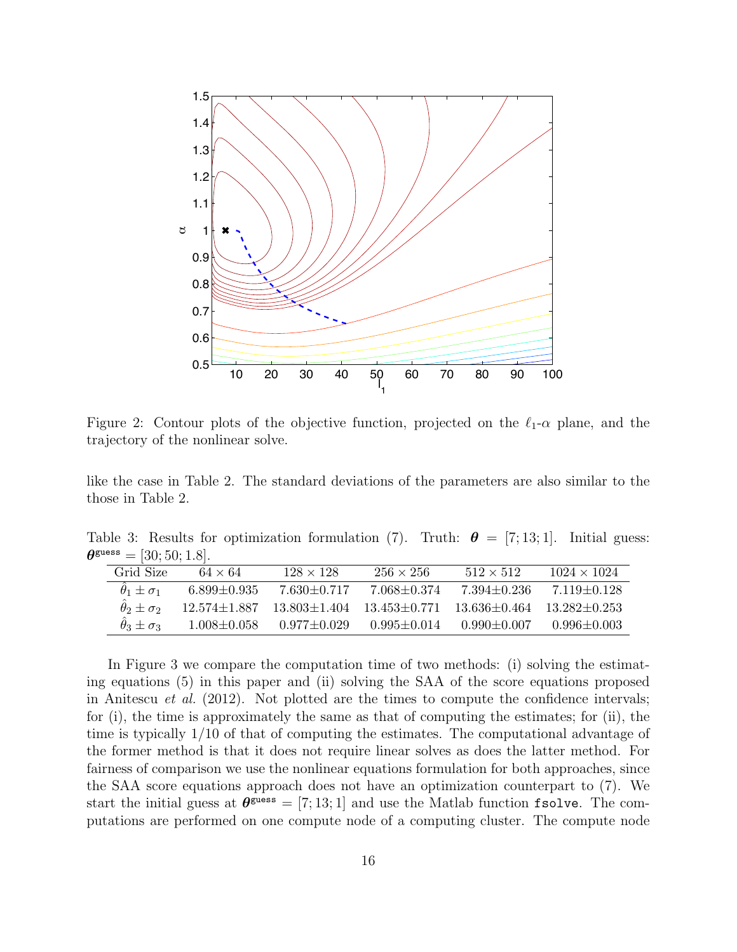

Figure 2: Contour plots of the objective function, projected on the  $\ell_1$ - $\alpha$  plane, and the trajectory of the nonlinear solve.

like the case in Table 2. The standard deviations of the parameters are also similar to the those in Table 2.

Table 3: Results for optimization formulation (7). Truth:  $\theta = [7, 13, 1]$ . Initial guess:  $\theta^{\text{guess}} = [30; 50; 1.8].$ 

| Grid Size               | $64 \times 64$    | $128 \times 128$                      | $256 \times 256$ | $512 \times 512$                  | $1024 \times 1024$ |
|-------------------------|-------------------|---------------------------------------|------------------|-----------------------------------|--------------------|
| $\theta_1 \pm \sigma_1$ | $6.899 + 0.935$   | $7.630 + 0.717$                       | 7.068+0.374      | 7.394+0.236                       | 7 119 + 0 128      |
| $\theta_2 \pm \sigma_2$ |                   | $12.574 \pm 1.887$ $13.803 \pm 1.404$ | $13.453 + 0.771$ | $13.636 + 0.464$ $13.282 + 0.253$ |                    |
| $\theta_3 \pm \sigma_3$ | $1.008 \pm 0.058$ | $0.977 + 0.029$                       | $0.995 + 0.014$  | $0.990 + 0.007$                   | $0.996 + 0.003$    |

In Figure 3 we compare the computation time of two methods: (i) solving the estimating equations (5) in this paper and (ii) solving the SAA of the score equations proposed in Anitescu *et al.* (2012). Not plotted are the times to compute the confidence intervals; for (i), the time is approximately the same as that of computing the estimates; for (ii), the time is typically 1/10 of that of computing the estimates. The computational advantage of the former method is that it does not require linear solves as does the latter method. For fairness of comparison we use the nonlinear equations formulation for both approaches, since the SAA score equations approach does not have an optimization counterpart to (7). We start the initial guess at  $\theta^{\text{guess}} = [7; 13; 1]$  and use the Matlab function fsolve. The computations are performed on one compute node of a computing cluster. The compute node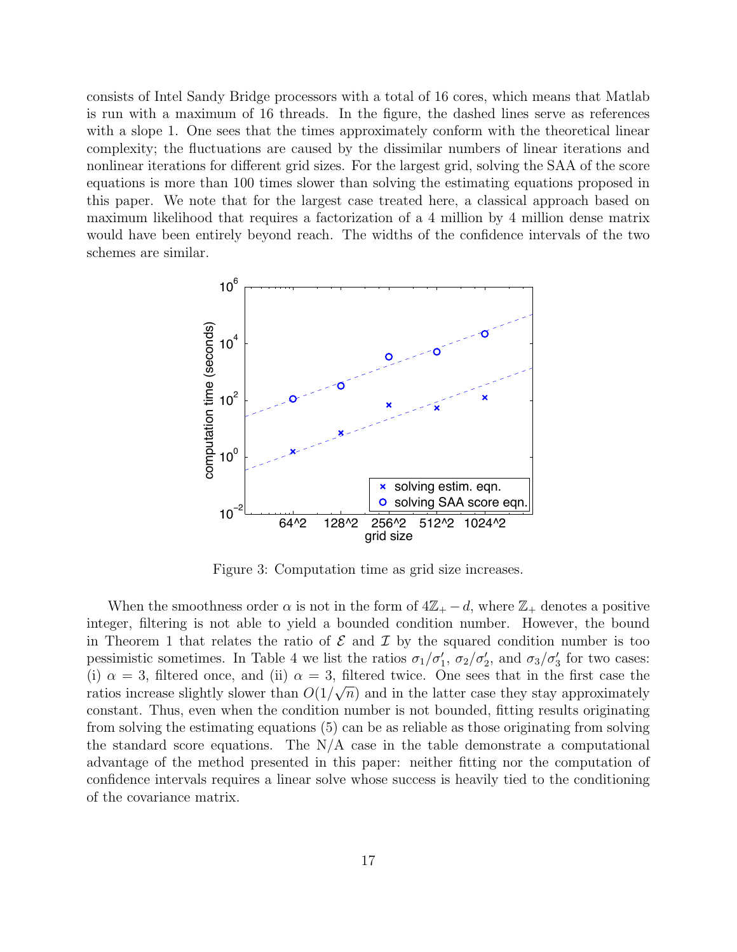consists of Intel Sandy Bridge processors with a total of 16 cores, which means that Matlab is run with a maximum of 16 threads. In the figure, the dashed lines serve as references with a slope 1. One sees that the times approximately conform with the theoretical linear complexity; the fluctuations are caused by the dissimilar numbers of linear iterations and nonlinear iterations for different grid sizes. For the largest grid, solving the SAA of the score equations is more than 100 times slower than solving the estimating equations proposed in this paper. We note that for the largest case treated here, a classical approach based on maximum likelihood that requires a factorization of a 4 million by 4 million dense matrix would have been entirely beyond reach. The widths of the confidence intervals of the two schemes are similar.



Figure 3: Computation time as grid size increases.

When the smoothness order  $\alpha$  is not in the form of  $4\mathbb{Z}_+ - d$ , where  $\mathbb{Z}_+$  denotes a positive integer, filtering is not able to yield a bounded condition number. However, the bound in Theorem 1 that relates the ratio of  $\mathcal E$  and  $\mathcal I$  by the squared condition number is too pessimistic sometimes. In Table 4 we list the ratios  $\sigma_1/\sigma'_1$ ,  $\sigma_2/\sigma'_2$ , and  $\sigma_3/\sigma'_3$  for two cases: (i)  $\alpha = 3$ , filtered once, and (ii)  $\alpha = 3$ , filtered twice. One sees that in the first case the ratios increase slightly slower than  $O(1/\sqrt{n})$  and in the latter case they stay approximately constant. Thus, even when the condition number is not bounded, fitting results originating from solving the estimating equations (5) can be as reliable as those originating from solving the standard score equations. The  $N/A$  case in the table demonstrate a computational advantage of the method presented in this paper: neither fitting nor the computation of confidence intervals requires a linear solve whose success is heavily tied to the conditioning of the covariance matrix.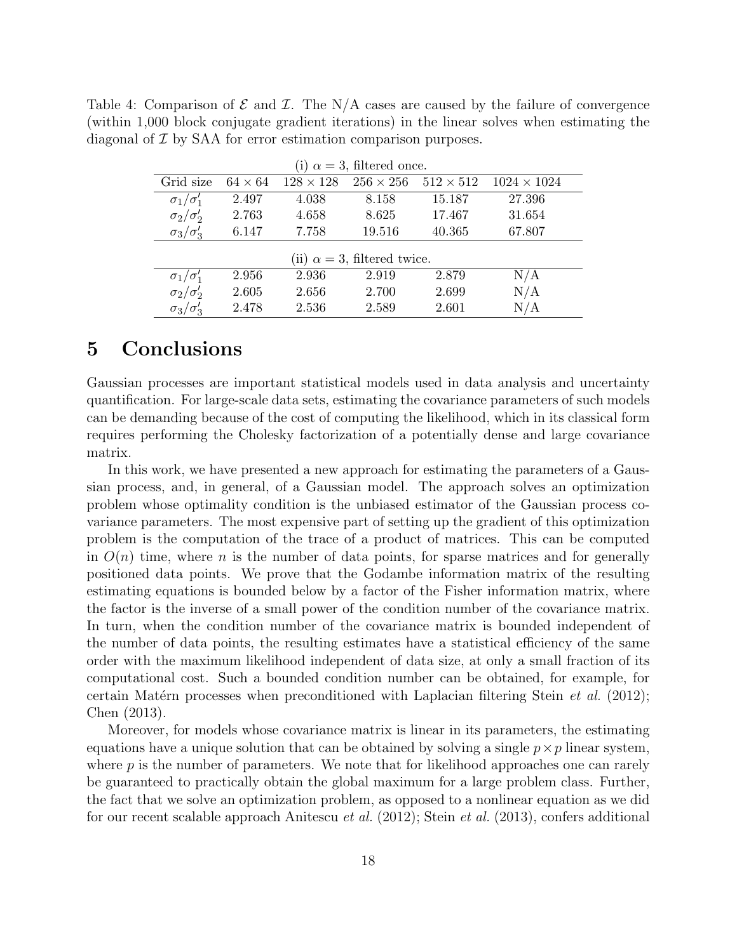|                                                                           |  |  |  |  |  | Table 4: Comparison of $\mathcal E$ and $\mathcal I$ . The N/A cases are caused by the failure of convergence |  |
|---------------------------------------------------------------------------|--|--|--|--|--|---------------------------------------------------------------------------------------------------------------|--|
|                                                                           |  |  |  |  |  | (within 1,000 block conjugate gradient iterations) in the linear solves when estimating the                   |  |
| diagonal of $\mathcal I$ by SAA for error estimation comparison purposes. |  |  |  |  |  |                                                                                                               |  |

| (i) $\alpha = 3$ , filtered once.   |                |                  |                  |                  |                    |  |  |  |
|-------------------------------------|----------------|------------------|------------------|------------------|--------------------|--|--|--|
| Grid size                           | $64 \times 64$ | $128 \times 128$ | $256 \times 256$ | $512 \times 512$ | $1024 \times 1024$ |  |  |  |
| $\sigma_1/\sigma'_1$                | 2.497          | 4.038            | 8.158            | 15.187           | 27.396             |  |  |  |
| $\sigma_2/\sigma_2'$                | 2.763          | 4.658            | 8.625            | 17.467           | 31.654             |  |  |  |
| $\sigma_3/\sigma'_3$                | 6.147          | 7.758            | 19.516           | 40.365           | 67.807             |  |  |  |
| (ii) $\alpha = 3$ , filtered twice. |                |                  |                  |                  |                    |  |  |  |
| $\sigma_1/\sigma'_1$                | 2.956          | 2.936            | 2.919            | 2.879            | N/A                |  |  |  |
| $\sigma_2/\sigma'_2$                | 2.605          | 2.656            | 2.700            | 2.699            | N/A                |  |  |  |
| $\sigma_3/\sigma'_3$                | 2.478          | 2.536            | 2.589            | 2.601            | N/A                |  |  |  |

### 5 Conclusions

Gaussian processes are important statistical models used in data analysis and uncertainty quantification. For large-scale data sets, estimating the covariance parameters of such models can be demanding because of the cost of computing the likelihood, which in its classical form requires performing the Cholesky factorization of a potentially dense and large covariance matrix.

In this work, we have presented a new approach for estimating the parameters of a Gaussian process, and, in general, of a Gaussian model. The approach solves an optimization problem whose optimality condition is the unbiased estimator of the Gaussian process covariance parameters. The most expensive part of setting up the gradient of this optimization problem is the computation of the trace of a product of matrices. This can be computed in  $O(n)$  time, where n is the number of data points, for sparse matrices and for generally positioned data points. We prove that the Godambe information matrix of the resulting estimating equations is bounded below by a factor of the Fisher information matrix, where the factor is the inverse of a small power of the condition number of the covariance matrix. In turn, when the condition number of the covariance matrix is bounded independent of the number of data points, the resulting estimates have a statistical efficiency of the same order with the maximum likelihood independent of data size, at only a small fraction of its computational cost. Such a bounded condition number can be obtained, for example, for certain Matérn processes when preconditioned with Laplacian filtering Stein *et al.* (2012); Chen (2013).

Moreover, for models whose covariance matrix is linear in its parameters, the estimating equations have a unique solution that can be obtained by solving a single  $p \times p$  linear system, where  $p$  is the number of parameters. We note that for likelihood approaches one can rarely be guaranteed to practically obtain the global maximum for a large problem class. Further, the fact that we solve an optimization problem, as opposed to a nonlinear equation as we did for our recent scalable approach Anitescu et al. (2012); Stein et al. (2013), confers additional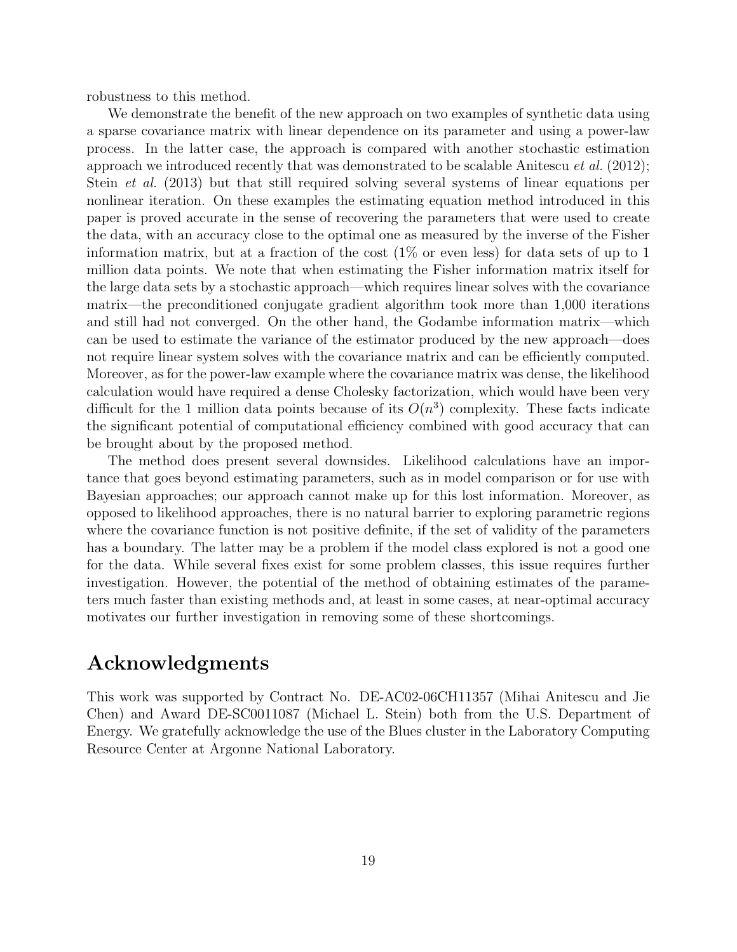robustness to this method.

We demonstrate the benefit of the new approach on two examples of synthetic data using a sparse covariance matrix with linear dependence on its parameter and using a power-law process. In the latter case, the approach is compared with another stochastic estimation approach we introduced recently that was demonstrated to be scalable Anitescu *et al.* (2012); Stein et al. (2013) but that still required solving several systems of linear equations per nonlinear iteration. On these examples the estimating equation method introduced in this paper is proved accurate in the sense of recovering the parameters that were used to create the data, with an accuracy close to the optimal one as measured by the inverse of the Fisher information matrix, but at a fraction of the cost  $(1\%$  or even less) for data sets of up to 1 million data points. We note that when estimating the Fisher information matrix itself for the large data sets by a stochastic approach—which requires linear solves with the covariance matrix—the preconditioned conjugate gradient algorithm took more than 1,000 iterations and still had not converged. On the other hand, the Godambe information matrix—which can be used to estimate the variance of the estimator produced by the new approach—does not require linear system solves with the covariance matrix and can be efficiently computed. Moreover, as for the power-law example where the covariance matrix was dense, the likelihood calculation would have required a dense Cholesky factorization, which would have been very difficult for the 1 million data points because of its  $O(n^3)$  complexity. These facts indicate the significant potential of computational efficiency combined with good accuracy that can be brought about by the proposed method.

The method does present several downsides. Likelihood calculations have an importance that goes beyond estimating parameters, such as in model comparison or for use with Bayesian approaches; our approach cannot make up for this lost information. Moreover, as opposed to likelihood approaches, there is no natural barrier to exploring parametric regions where the covariance function is not positive definite, if the set of validity of the parameters has a boundary. The latter may be a problem if the model class explored is not a good one for the data. While several fixes exist for some problem classes, this issue requires further investigation. However, the potential of the method of obtaining estimates of the parameters much faster than existing methods and, at least in some cases, at near-optimal accuracy motivates our further investigation in removing some of these shortcomings.

### Acknowledgments

This work was supported by Contract No. DE-AC02-06CH11357 (Mihai Anitescu and Jie Chen) and Award DE-SC0011087 (Michael L. Stein) both from the U.S. Department of Energy. We gratefully acknowledge the use of the Blues cluster in the Laboratory Computing Resource Center at Argonne National Laboratory.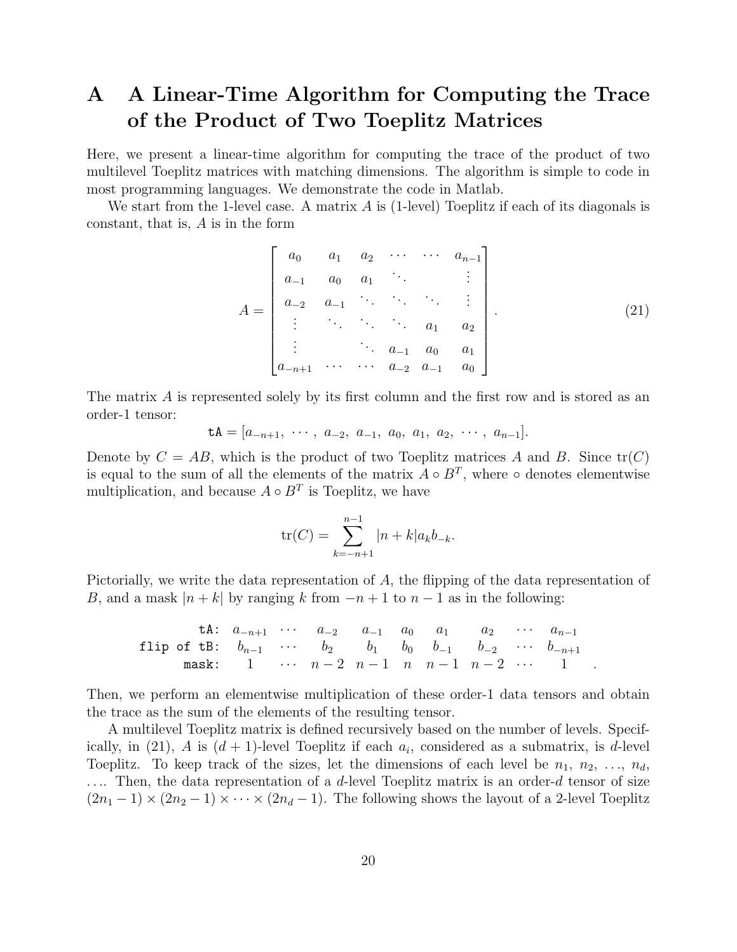## A A Linear-Time Algorithm for Computing the Trace of the Product of Two Toeplitz Matrices

Here, we present a linear-time algorithm for computing the trace of the product of two multilevel Toeplitz matrices with matching dimensions. The algorithm is simple to code in most programming languages. We demonstrate the code in Matlab.

We start from the 1-level case. A matrix  $A$  is (1-level) Toeplitz if each of its diagonals is constant, that is, A is in the form

$$
A = \begin{bmatrix} a_0 & a_1 & a_2 & \cdots & \cdots & a_{n-1} \\ a_{-1} & a_0 & a_1 & & & \vdots \\ a_{-2} & a_{-1} & \cdots & \cdots & \vdots \\ \vdots & \ddots & \ddots & \ddots & a_1 & a_2 \\ \vdots & & \ddots & a_{-1} & a_0 & a_1 \\ a_{-n+1} & \cdots & \cdots & a_{-2} & a_{-1} & a_0 \end{bmatrix} . \tag{21}
$$

The matrix A is represented solely by its first column and the first row and is stored as an order-1 tensor:

$$
\mathsf{tA} = [a_{-n+1}, \cdots, a_{-2}, a_{-1}, a_0, a_1, a_2, \cdots, a_{n-1}].
$$

Denote by  $C = AB$ , which is the product of two Toeplitz matrices A and B. Since  $tr(C)$ is equal to the sum of all the elements of the matrix  $A \circ B^T$ , where  $\circ$  denotes elementwise multiplication, and because  $A \circ B^T$  is Toeplitz, we have

$$
\text{tr}(C) = \sum_{k=-n+1}^{n-1} |n+k| a_k b_{-k}.
$$

Pictorially, we write the data representation of A, the flipping of the data representation of B, and a mask  $|n+k|$  by ranging k from  $-n+1$  to  $n-1$  as in the following:

\n The equation is:\n 
$$
\begin{bmatrix}\n a_{n+1} & \cdots & a_{-2} & a_{-1} & a_0 & a_1 & a_2 & \cdots & a_{n-1} \\
 b_{n-1} & \cdots & b_2 & b_1 & b_0 & b_{-1} & b_{-2} & \cdots & b_{-n+1} \\
 b_n & \cdots & b_n & \cdots & b_{-1} & b_n & b_{-1} & b_{-2} & \cdots & b_{-n+1} \\
 b_n & \cdots & \cdots & \cdots & \cdots & \cdots & \cdots & \cdots & \cdots\n \end{bmatrix}
$$
\n

Then, we perform an elementwise multiplication of these order-1 data tensors and obtain the trace as the sum of the elements of the resulting tensor.

A multilevel Toeplitz matrix is defined recursively based on the number of levels. Specifically, in (21), A is  $(d+1)$ -level Toeplitz if each  $a_i$ , considered as a submatrix, is d-level Toeplitz. To keep track of the sizes, let the dimensions of each level be  $n_1, n_2, \ldots, n_d$ , .... Then, the data representation of a d-level Toeplitz matrix is an order-d tensor of size  $(2n_1 - 1) \times (2n_2 - 1) \times \cdots \times (2n_d - 1)$ . The following shows the layout of a 2-level Toeplitz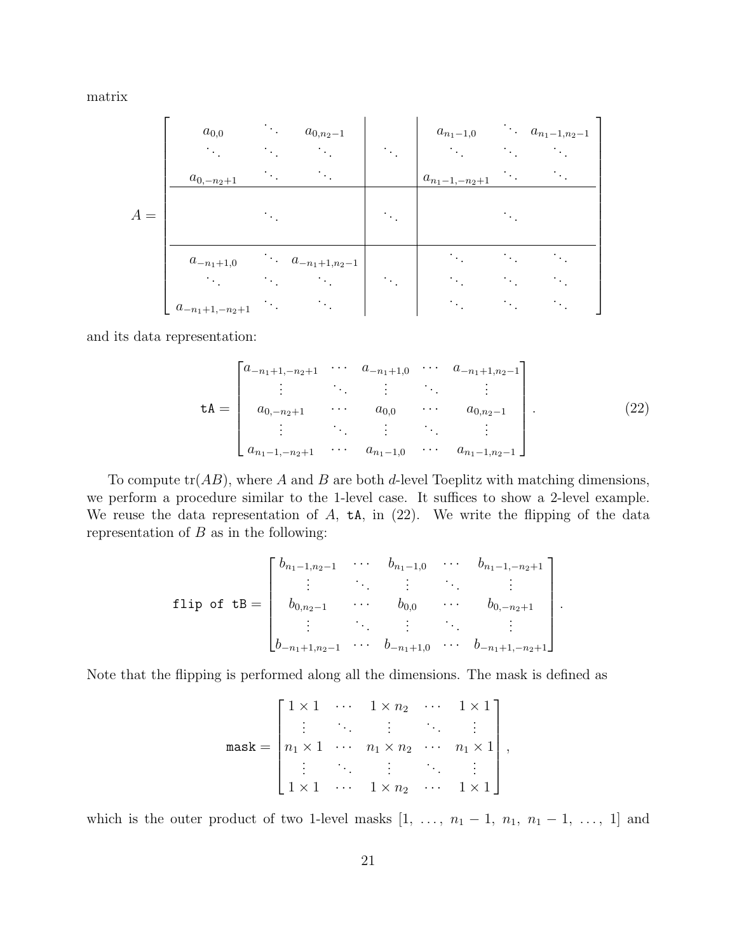matrix

|       | $a_{0,0}$<br>$\bullet$<br>$a_{0,-n_2+1}$ | $\bullet$ | $a_{0,n_2-1}$             | $\mathcal{F}_{\mathcal{F},\mathcal{F}}$ | $a_{n_1-1,0}$<br>$a_{n_1-1,-n_2+1}$ | $\cdots a_{n_1-1,n_2-1}$ |
|-------|------------------------------------------|-----------|---------------------------|-----------------------------------------|-------------------------------------|--------------------------|
| $A =$ |                                          |           |                           | $\bullet$                               |                                     |                          |
|       | $a_{-n_1+1,0}$                           |           | $\cdots a_{-n_1+1,n_2-1}$ | $\bullet$                               |                                     |                          |
|       | $a_{-n_1+1,-n_2+1}$                      |           |                           |                                         |                                     |                          |

and its data representation:

$$
\mathbf{t}\mathbf{A} = \begin{bmatrix} a_{-n_1+1,-n_2+1} & \cdots & a_{-n_1+1,0} & \cdots & a_{-n_1+1,n_2-1} \\ \vdots & \ddots & \vdots & \ddots & \vdots \\ a_{0,-n_2+1} & \cdots & a_{0,0} & \cdots & a_{0,n_2-1} \\ \vdots & \ddots & \vdots & \ddots & \vdots \\ a_{n_1-1,-n_2+1} & \cdots & a_{n_1-1,0} & \cdots & a_{n_1-1,n_2-1} \end{bmatrix} .
$$
 (22)

.

To compute  $tr(AB)$ , where A and B are both d-level Toeplitz with matching dimensions, we perform a procedure similar to the 1-level case. It suffices to show a 2-level example. We reuse the data representation of  $A$ ,  $\mathsf{tA}$ , in (22). We write the flipping of the data representation of  $B$  as in the following:

$$
\text{flip of tB} = \begin{bmatrix} b_{n_1-1,n_2-1} & \cdots & b_{n_1-1,0} & \cdots & b_{n_1-1,-n_2+1} \\ \vdots & \ddots & \vdots & & \vdots \\ b_{0,n_2-1} & \cdots & b_{0,0} & \cdots & b_{0,-n_2+1} \\ \vdots & \ddots & \vdots & & \vdots \\ b_{-n_1+1,n_2-1} & \cdots & b_{-n_1+1,0} & \cdots & b_{-n_1+1,-n_2+1} \end{bmatrix}
$$

Note that the flipping is performed along all the dimensions. The mask is defined as

$$
\text{mask} = \begin{bmatrix} 1 \times 1 & \cdots & 1 \times n_2 & \cdots & 1 \times 1 \\ \vdots & \ddots & \vdots & \ddots & \vdots \\ n_1 \times 1 & \cdots & n_1 \times n_2 & \cdots & n_1 \times 1 \\ \vdots & \ddots & \vdots & \ddots & \vdots \\ 1 \times 1 & \cdots & 1 \times n_2 & \cdots & 1 \times 1 \end{bmatrix},
$$

which is the outer product of two 1-level masks  $[1, \ldots, n_1-1, n_1, n_1-1, \ldots, 1]$  and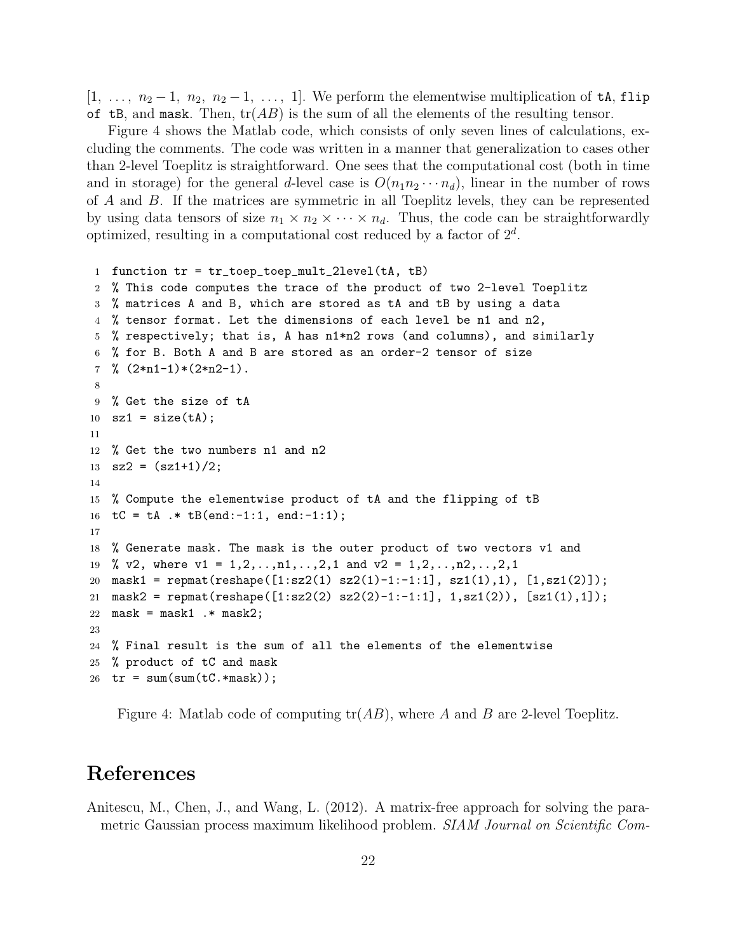$[1, \ldots, n_2-1, n_2, n_2-1, \ldots, 1]$ . We perform the elementwise multiplication of the flip of tB, and mask. Then,  $tr(AB)$  is the sum of all the elements of the resulting tensor.

Figure 4 shows the Matlab code, which consists of only seven lines of calculations, excluding the comments. The code was written in a manner that generalization to cases other than 2-level Toeplitz is straightforward. One sees that the computational cost (both in time and in storage) for the general d-level case is  $O(n_1n_2 \cdots n_d)$ , linear in the number of rows of A and B. If the matrices are symmetric in all Toeplitz levels, they can be represented by using data tensors of size  $n_1 \times n_2 \times \cdots \times n_d$ . Thus, the code can be straightforwardly optimized, resulting in a computational cost reduced by a factor of  $2<sup>d</sup>$ .

```
1 function tr = tr_toep_toep_mult_2level(tA, tB)
2 % This code computes the trace of the product of two 2-level Toeplitz
3 % matrices A and B, which are stored as tA and tB by using a data
4 % tensor format. Let the dimensions of each level be n1 and n2,
5 % respectively; that is, A has n1*n2 rows (and columns), and similarly
6 % for B. Both A and B are stored as an order-2 tensor of size
7 \frac{\%}{2 \times n1 - 1} \times (2 \times n2 - 1).
8
9 % Get the size of tA
10 sz1 = size(tA);11
12 % Get the two numbers n1 and n2
13 sz2 = (sz1+1)/2;
14
15 % Compute the elementwise product of tA and the flipping of tB
16 tC = tA .* tB(end:-1:1, end:-1:1);17
18 % Generate mask. The mask is the outer product of two vectors v1 and
19 % v2, where v1 = 1, 2, ..., n1, ..., 2, 1 and v2 = 1, 2, ..., n2, ..., 2, 120 mask1 = repmat(reshape([1:sz2(1) sz2(1)-1:-1:1], sz1(1),1), [1,sz1(2)]);
21 mask2 = repmat(reshape([1:sz2(2) sz2(2)-1:-1:1], 1,sz1(2)), [sz1(1),1]);
22 mask = mask1 \cdot mask2;
23
24 % Final result is the sum of all the elements of the elementwise
25 % product of tC and mask
26 tr = sum(sum(tC.*mask));
```
Figure 4: Matlab code of computing  $tr(AB)$ , where A and B are 2-level Toeplitz.

### References

Anitescu, M., Chen, J., and Wang, L. (2012). A matrix-free approach for solving the parametric Gaussian process maximum likelihood problem. SIAM Journal on Scientific Com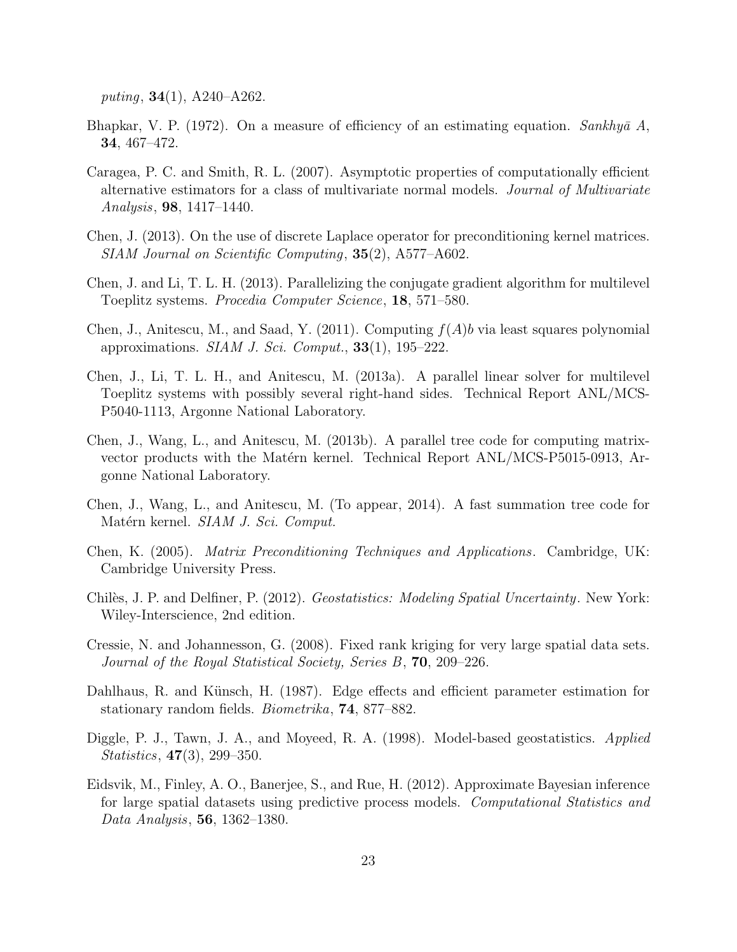puting,  $34(1)$ ,  $A240 - A262$ .

- Bhapkar, V. P. (1972). On a measure of efficiency of an estimating equation. Sankhya A, 34, 467–472.
- Caragea, P. C. and Smith, R. L. (2007). Asymptotic properties of computationally efficient alternative estimators for a class of multivariate normal models. Journal of Multivariate Analysis, 98, 1417–1440.
- Chen, J. (2013). On the use of discrete Laplace operator for preconditioning kernel matrices. SIAM Journal on Scientific Computing, 35(2), A577–A602.
- Chen, J. and Li, T. L. H. (2013). Parallelizing the conjugate gradient algorithm for multilevel Toeplitz systems. Procedia Computer Science, 18, 571–580.
- Chen, J., Anitescu, M., and Saad, Y. (2011). Computing  $f(A)b$  via least squares polynomial approximations. SIAM J. Sci. Comput.,  $33(1)$ ,  $195-222$ .
- Chen, J., Li, T. L. H., and Anitescu, M. (2013a). A parallel linear solver for multilevel Toeplitz systems with possibly several right-hand sides. Technical Report ANL/MCS-P5040-1113, Argonne National Laboratory.
- Chen, J., Wang, L., and Anitescu, M. (2013b). A parallel tree code for computing matrixvector products with the Matérn kernel. Technical Report ANL/MCS-P5015-0913, Argonne National Laboratory.
- Chen, J., Wang, L., and Anitescu, M. (To appear, 2014). A fast summation tree code for Matérn kernel. SIAM J. Sci. Comput.
- Chen, K. (2005). Matrix Preconditioning Techniques and Applications. Cambridge, UK: Cambridge University Press.
- Chilès, J. P. and Delfiner, P. (2012). Geostatistics: Modeling Spatial Uncertainty. New York: Wiley-Interscience, 2nd edition.
- Cressie, N. and Johannesson, G. (2008). Fixed rank kriging for very large spatial data sets. Journal of the Royal Statistical Society, Series B, 70, 209–226.
- Dahlhaus, R. and Künsch, H. (1987). Edge effects and efficient parameter estimation for stationary random fields. Biometrika, 74, 877–882.
- Diggle, P. J., Tawn, J. A., and Moyeed, R. A. (1998). Model-based geostatistics. Applied Statistics, 47(3), 299–350.
- Eidsvik, M., Finley, A. O., Banerjee, S., and Rue, H. (2012). Approximate Bayesian inference for large spatial datasets using predictive process models. Computational Statistics and Data Analysis, 56, 1362–1380.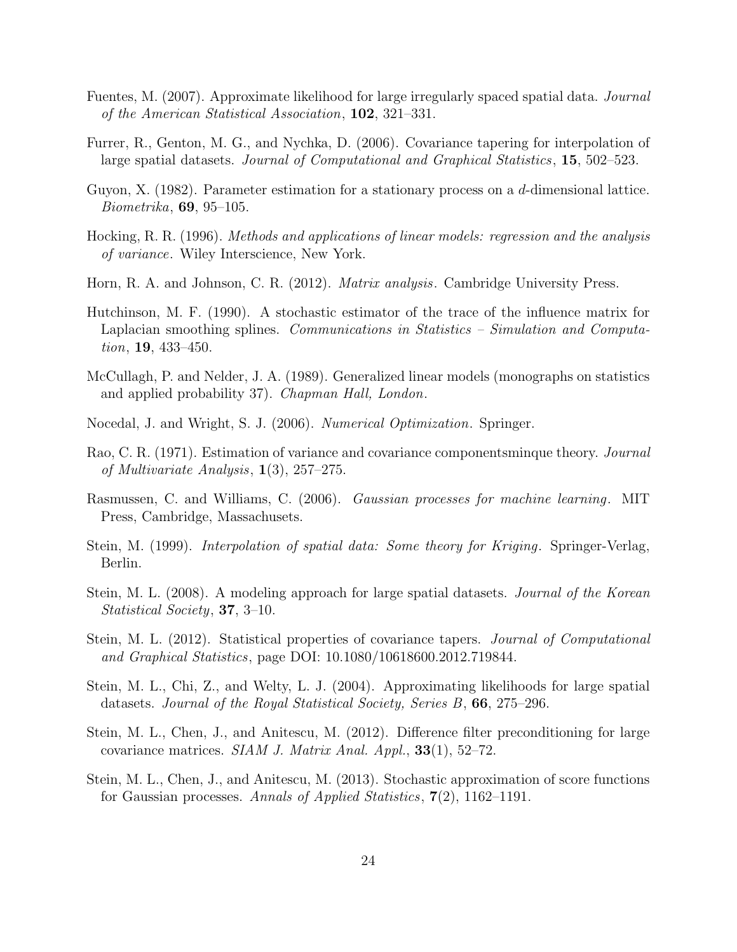- Fuentes, M. (2007). Approximate likelihood for large irregularly spaced spatial data. Journal of the American Statistical Association, 102, 321–331.
- Furrer, R., Genton, M. G., and Nychka, D. (2006). Covariance tapering for interpolation of large spatial datasets. Journal of Computational and Graphical Statistics, 15, 502–523.
- Guyon, X. (1982). Parameter estimation for a stationary process on a d-dimensional lattice. Biometrika, 69, 95–105.
- Hocking, R. R. (1996). Methods and applications of linear models: regression and the analysis of variance. Wiley Interscience, New York.
- Horn, R. A. and Johnson, C. R. (2012). Matrix analysis. Cambridge University Press.
- Hutchinson, M. F. (1990). A stochastic estimator of the trace of the influence matrix for Laplacian smoothing splines. Communications in Statistics – Simulation and Computation, 19, 433–450.
- McCullagh, P. and Nelder, J. A. (1989). Generalized linear models (monographs on statistics and applied probability 37). Chapman Hall, London.
- Nocedal, J. and Wright, S. J. (2006). Numerical Optimization. Springer.
- Rao, C. R. (1971). Estimation of variance and covariance componentsminque theory. Journal of Multivariate Analysis, 1(3), 257–275.
- Rasmussen, C. and Williams, C. (2006). Gaussian processes for machine learning. MIT Press, Cambridge, Massachusets.
- Stein, M. (1999). *Interpolation of spatial data: Some theory for Kriging*. Springer-Verlag, Berlin.
- Stein, M. L. (2008). A modeling approach for large spatial datasets. *Journal of the Korean* Statistical Society, 37, 3–10.
- Stein, M. L. (2012). Statistical properties of covariance tapers. Journal of Computational and Graphical Statistics, page DOI: 10.1080/10618600.2012.719844.
- Stein, M. L., Chi, Z., and Welty, L. J. (2004). Approximating likelihoods for large spatial datasets. Journal of the Royal Statistical Society, Series B, 66, 275–296.
- Stein, M. L., Chen, J., and Anitescu, M. (2012). Difference filter preconditioning for large covariance matrices. SIAM J. Matrix Anal. Appl., 33(1), 52–72.
- Stein, M. L., Chen, J., and Anitescu, M. (2013). Stochastic approximation of score functions for Gaussian processes. Annals of Applied Statistics, 7(2), 1162–1191.